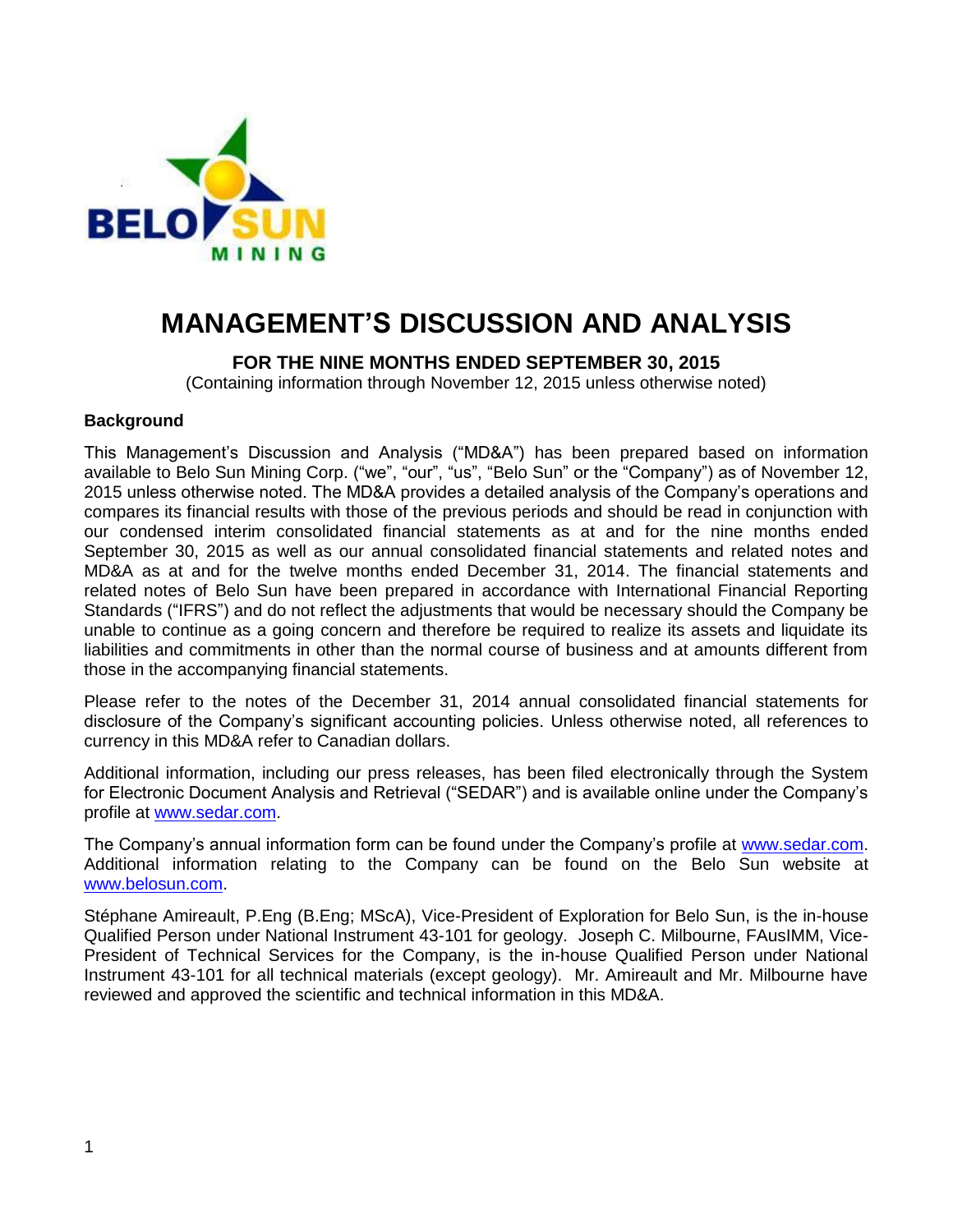

# **MANAGEMENT'S DISCUSSION AND ANALYSIS**

# **FOR THE NINE MONTHS ENDED SEPTEMBER 30, 2015**

(Containing information through November 12, 2015 unless otherwise noted)

## **Background**

This Management's Discussion and Analysis ("MD&A") has been prepared based on information available to Belo Sun Mining Corp. ("we", "our", "us", "Belo Sun" or the "Company") as of November 12, 2015 unless otherwise noted. The MD&A provides a detailed analysis of the Company's operations and compares its financial results with those of the previous periods and should be read in conjunction with our condensed interim consolidated financial statements as at and for the nine months ended September 30, 2015 as well as our annual consolidated financial statements and related notes and MD&A as at and for the twelve months ended December 31, 2014. The financial statements and related notes of Belo Sun have been prepared in accordance with International Financial Reporting Standards ("IFRS") and do not reflect the adjustments that would be necessary should the Company be unable to continue as a going concern and therefore be required to realize its assets and liquidate its liabilities and commitments in other than the normal course of business and at amounts different from those in the accompanying financial statements.

Please refer to the notes of the December 31, 2014 annual consolidated financial statements for disclosure of the Company's significant accounting policies. Unless otherwise noted, all references to currency in this MD&A refer to Canadian dollars.

Additional information, including our press releases, has been filed electronically through the System for Electronic Document Analysis and Retrieval ("SEDAR") and is available online under the Company's profile at [www.sedar.com.](http://www.sedar.com/)

The Company's annual information form can be found under the Company's profile at [www.sedar.com.](http://www.sedar.com/) Additional information relating to the Company can be found on the Belo Sun website at [www.belosun.com.](http://www.belosun.com/)

Stéphane Amireault, P.Eng (B.Eng; MScA), Vice-President of Exploration for Belo Sun, is the in-house Qualified Person under National Instrument 43-101 for geology. Joseph C. Milbourne, FAusIMM, Vice-President of Technical Services for the Company, is the in-house Qualified Person under National Instrument 43-101 for all technical materials (except geology). Mr. Amireault and Mr. Milbourne have reviewed and approved the scientific and technical information in this MD&A.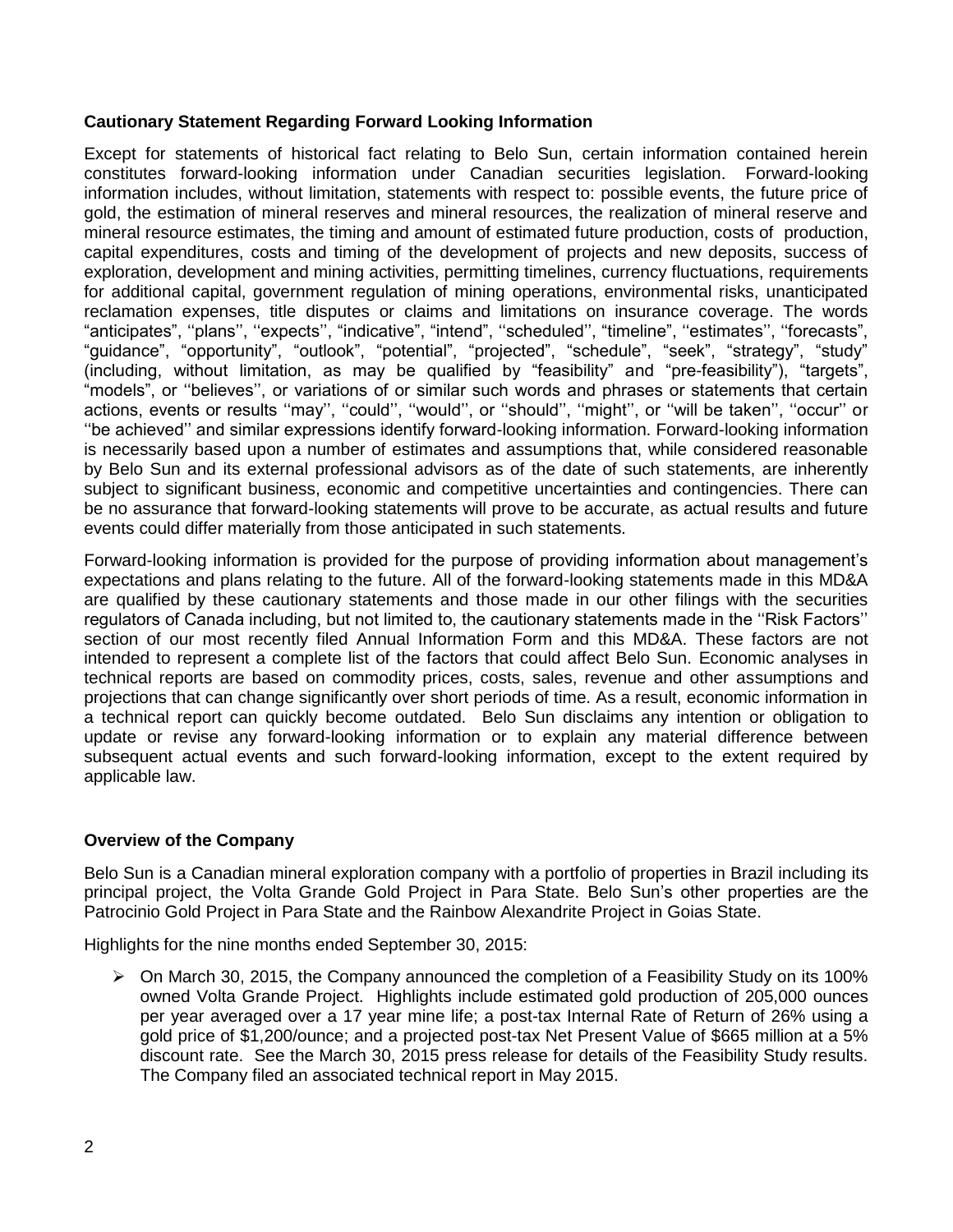# **Cautionary Statement Regarding Forward Looking Information**

Except for statements of historical fact relating to Belo Sun, certain information contained herein constitutes forward-looking information under Canadian securities legislation. Forward-looking information includes, without limitation, statements with respect to: possible events, the future price of gold, the estimation of mineral reserves and mineral resources, the realization of mineral reserve and mineral resource estimates, the timing and amount of estimated future production, costs of production, capital expenditures, costs and timing of the development of projects and new deposits, success of exploration, development and mining activities, permitting timelines, currency fluctuations, requirements for additional capital, government regulation of mining operations, environmental risks, unanticipated reclamation expenses, title disputes or claims and limitations on insurance coverage. The words "anticipates", ''plans'', ''expects'', "indicative", "intend", ''scheduled'', "timeline", ''estimates'', ''forecasts", "guidance", "opportunity", "outlook", "potential", "projected", "schedule", "seek", "strategy", "study" (including, without limitation, as may be qualified by "feasibility" and "pre-feasibility"), "targets", "models", or ''believes'', or variations of or similar such words and phrases or statements that certain actions, events or results "may", "could", "would", or "should", "might", or "will be taken", "occur" or ''be achieved'' and similar expressions identify forward-looking information. Forward-looking information is necessarily based upon a number of estimates and assumptions that, while considered reasonable by Belo Sun and its external professional advisors as of the date of such statements, are inherently subject to significant business, economic and competitive uncertainties and contingencies. There can be no assurance that forward-looking statements will prove to be accurate, as actual results and future events could differ materially from those anticipated in such statements.

Forward-looking information is provided for the purpose of providing information about management's expectations and plans relating to the future. All of the forward-looking statements made in this MD&A are qualified by these cautionary statements and those made in our other filings with the securities regulators of Canada including, but not limited to, the cautionary statements made in the ''Risk Factors'' section of our most recently filed Annual Information Form and this MD&A. These factors are not intended to represent a complete list of the factors that could affect Belo Sun. Economic analyses in technical reports are based on commodity prices, costs, sales, revenue and other assumptions and projections that can change significantly over short periods of time. As a result, economic information in a technical report can quickly become outdated. Belo Sun disclaims any intention or obligation to update or revise any forward-looking information or to explain any material difference between subsequent actual events and such forward-looking information, except to the extent required by applicable law.

# **Overview of the Company**

Belo Sun is a Canadian mineral exploration company with a portfolio of properties in Brazil including its principal project, the Volta Grande Gold Project in Para State. Belo Sun's other properties are the Patrocinio Gold Project in Para State and the Rainbow Alexandrite Project in Goias State.

Highlights for the nine months ended September 30, 2015:

 $\triangleright$  On March 30, 2015, the Company announced the completion of a Feasibility Study on its 100% owned Volta Grande Project. Highlights include estimated gold production of 205,000 ounces per year averaged over a 17 year mine life; a post-tax Internal Rate of Return of 26% using a gold price of \$1,200/ounce; and a projected post-tax Net Present Value of \$665 million at a 5% discount rate. See the March 30, 2015 press release for details of the Feasibility Study results. The Company filed an associated technical report in May 2015.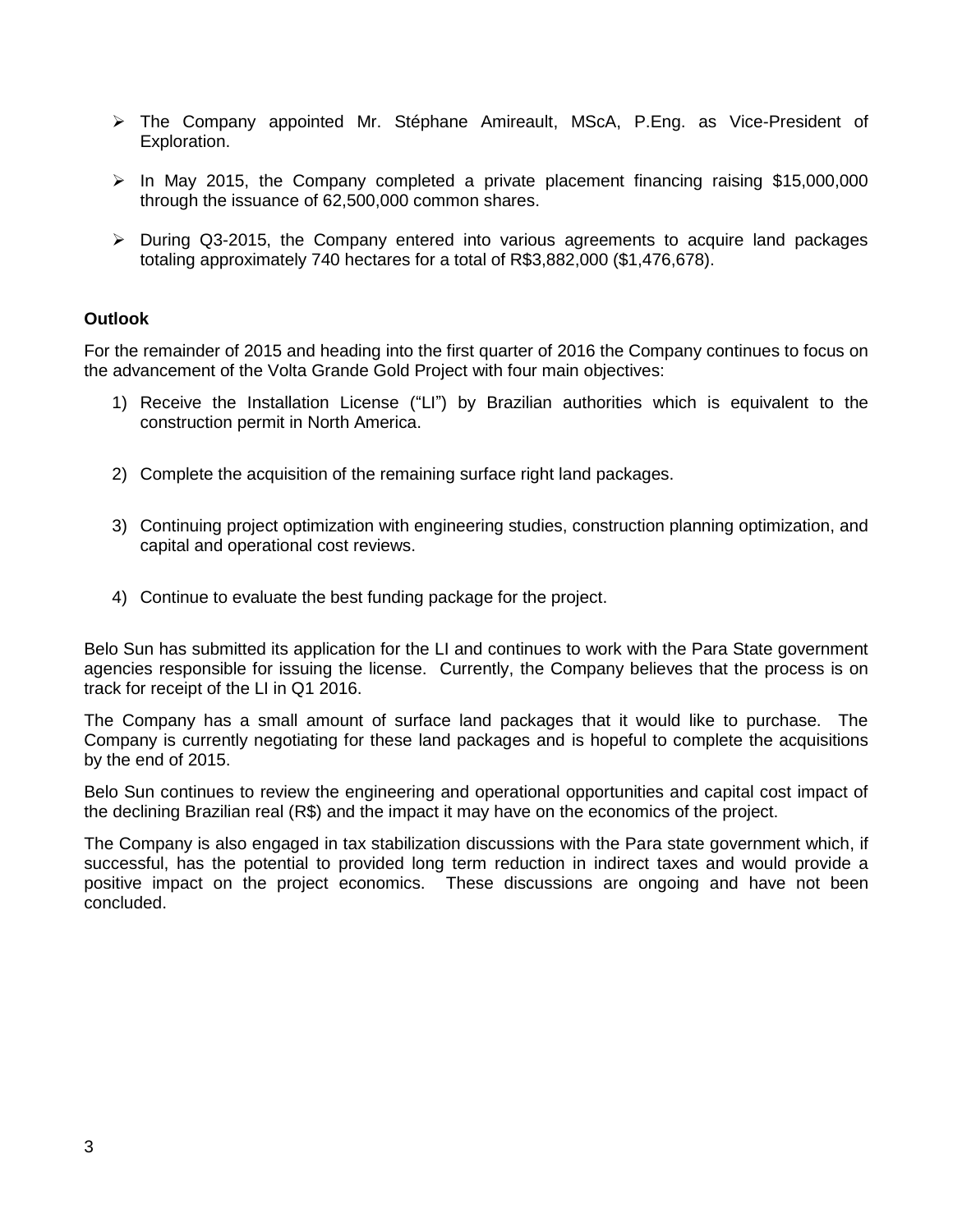- The Company appointed Mr. Stéphane Amireault, MScA, P.Eng. as Vice-President of Exploration.
- $\triangleright$  In May 2015, the Company completed a private placement financing raising \$15,000,000 through the issuance of 62,500,000 common shares.
- $\triangleright$  During Q3-2015, the Company entered into various agreements to acquire land packages totaling approximately 740 hectares for a total of R\$3,882,000 (\$1,476,678).

# **Outlook**

For the remainder of 2015 and heading into the first quarter of 2016 the Company continues to focus on the advancement of the Volta Grande Gold Project with four main objectives:

- 1) Receive the Installation License ("LI") by Brazilian authorities which is equivalent to the construction permit in North America.
- 2) Complete the acquisition of the remaining surface right land packages.
- 3) Continuing project optimization with engineering studies, construction planning optimization, and capital and operational cost reviews.
- 4) Continue to evaluate the best funding package for the project.

Belo Sun has submitted its application for the LI and continues to work with the Para State government agencies responsible for issuing the license. Currently, the Company believes that the process is on track for receipt of the LI in Q1 2016.

The Company has a small amount of surface land packages that it would like to purchase. The Company is currently negotiating for these land packages and is hopeful to complete the acquisitions by the end of 2015.

Belo Sun continues to review the engineering and operational opportunities and capital cost impact of the declining Brazilian real (R\$) and the impact it may have on the economics of the project.

The Company is also engaged in tax stabilization discussions with the Para state government which, if successful, has the potential to provided long term reduction in indirect taxes and would provide a positive impact on the project economics. These discussions are ongoing and have not been concluded.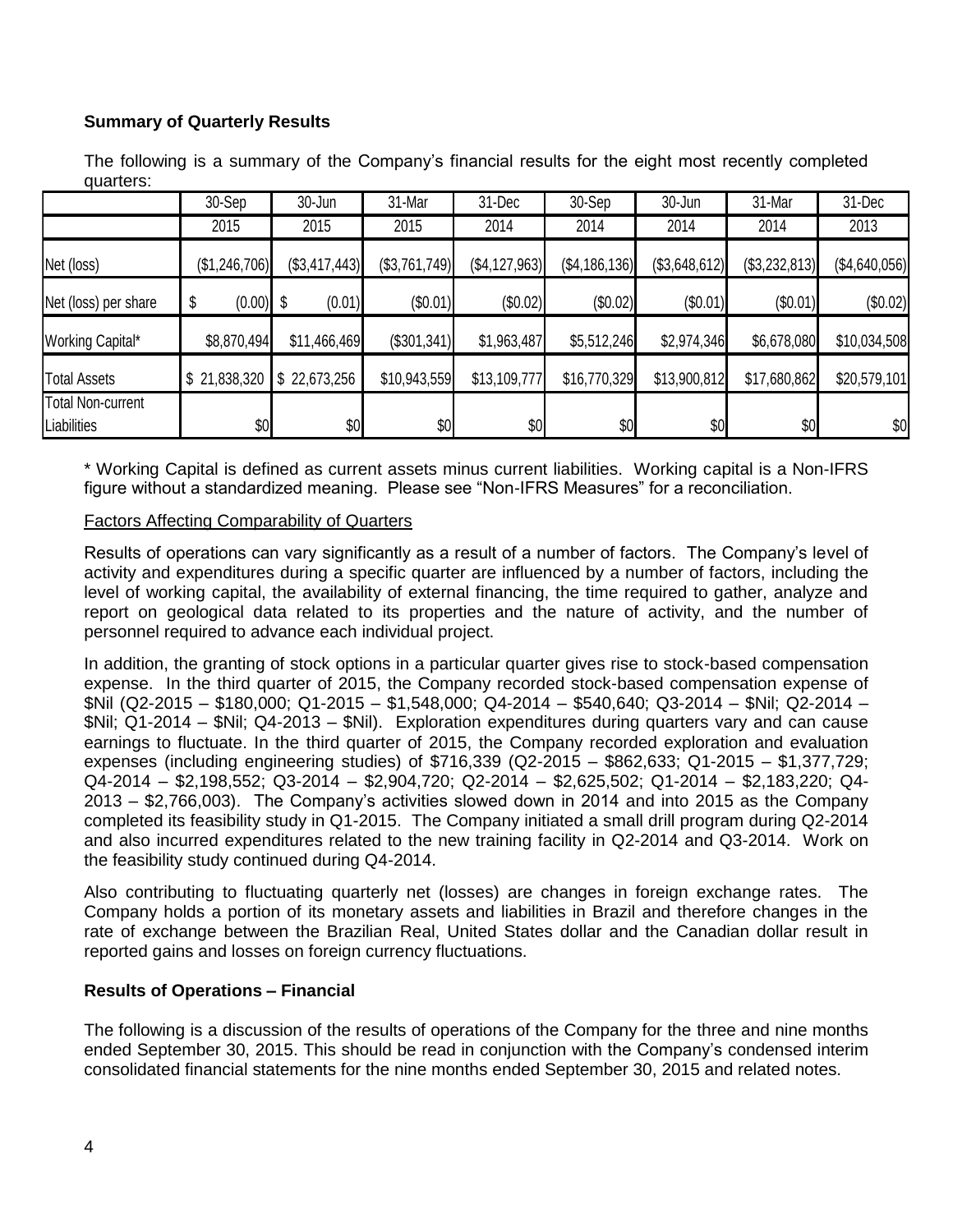# **Summary of Quarterly Results**

The following is a summary of the Company's financial results for the eight most recently completed quarters:

|                                         | 30-Sep        | 30-Jun        | 31-Mar        | 31-Dec          | 30-Sep        | 30-Jun        | 31-Mar        | 31-Dec        |
|-----------------------------------------|---------------|---------------|---------------|-----------------|---------------|---------------|---------------|---------------|
|                                         | 2015          | 2015          | 2015          | 2014            | 2014          | 2014          | 2014          | 2013          |
| Net (loss)                              | (\$1,246,706) | (\$3,417,443) | (\$3,761,749) | (\$4, 127, 963) | (\$4,186,136) | (\$3,648,612) | (\$3,232,813) | (\$4,640,056) |
| Net (loss) per share                    | $(0.00)$ \$   | (0.01)        | (\$0.01)      | (\$0.02)        | (\$0.02)      | (\$0.01)      | (\$0.01)      | (\$0.02)      |
| <b>Working Capital*</b>                 | \$8,870,494   | \$11,466,469  | (\$301,341)   | \$1,963,487     | \$5,512,246   | \$2,974,346   | \$6,678,080   | \$10,034,508  |
| <b>Total Assets</b>                     | \$21,838,320  | 22,673,256    | \$10,943,559  | \$13,109,777    | \$16,770,329  | \$13,900,812  | \$17,680,862  | \$20,579,101  |
| <b>Total Non-current</b><br>Liabilities | \$0           | \$0           | \$0           | \$0             | \$0           | \$0           | \$0           | \$0           |

\* Working Capital is defined as current assets minus current liabilities. Working capital is a Non-IFRS figure without a standardized meaning. Please see "Non-IFRS Measures" for a reconciliation.

## Factors Affecting Comparability of Quarters

Results of operations can vary significantly as a result of a number of factors. The Company's level of activity and expenditures during a specific quarter are influenced by a number of factors, including the level of working capital, the availability of external financing, the time required to gather, analyze and report on geological data related to its properties and the nature of activity, and the number of personnel required to advance each individual project.

In addition, the granting of stock options in a particular quarter gives rise to stock-based compensation expense. In the third quarter of 2015, the Company recorded stock-based compensation expense of \$Nil (Q2-2015 – \$180,000; Q1-2015 – \$1,548,000; Q4-2014 – \$540,640; Q3-2014 – \$Nil; Q2-2014 – \$Nil; Q1-2014 – \$Nil; Q4-2013 – \$Nil). Exploration expenditures during quarters vary and can cause earnings to fluctuate. In the third quarter of 2015, the Company recorded exploration and evaluation expenses (including engineering studies) of \$716,339 (Q2-2015 – \$862,633; Q1-2015 – \$1,377,729; Q4-2014 – \$2,198,552; Q3-2014 – \$2,904,720; Q2-2014 – \$2,625,502; Q1-2014 – \$2,183,220; Q4- 2013 – \$2,766,003). The Company's activities slowed down in 2014 and into 2015 as the Company completed its feasibility study in Q1-2015. The Company initiated a small drill program during Q2-2014 and also incurred expenditures related to the new training facility in Q2-2014 and Q3-2014. Work on the feasibility study continued during Q4-2014.

Also contributing to fluctuating quarterly net (losses) are changes in foreign exchange rates. The Company holds a portion of its monetary assets and liabilities in Brazil and therefore changes in the rate of exchange between the Brazilian Real, United States dollar and the Canadian dollar result in reported gains and losses on foreign currency fluctuations.

## **Results of Operations – Financial**

The following is a discussion of the results of operations of the Company for the three and nine months ended September 30, 2015. This should be read in conjunction with the Company's condensed interim consolidated financial statements for the nine months ended September 30, 2015 and related notes.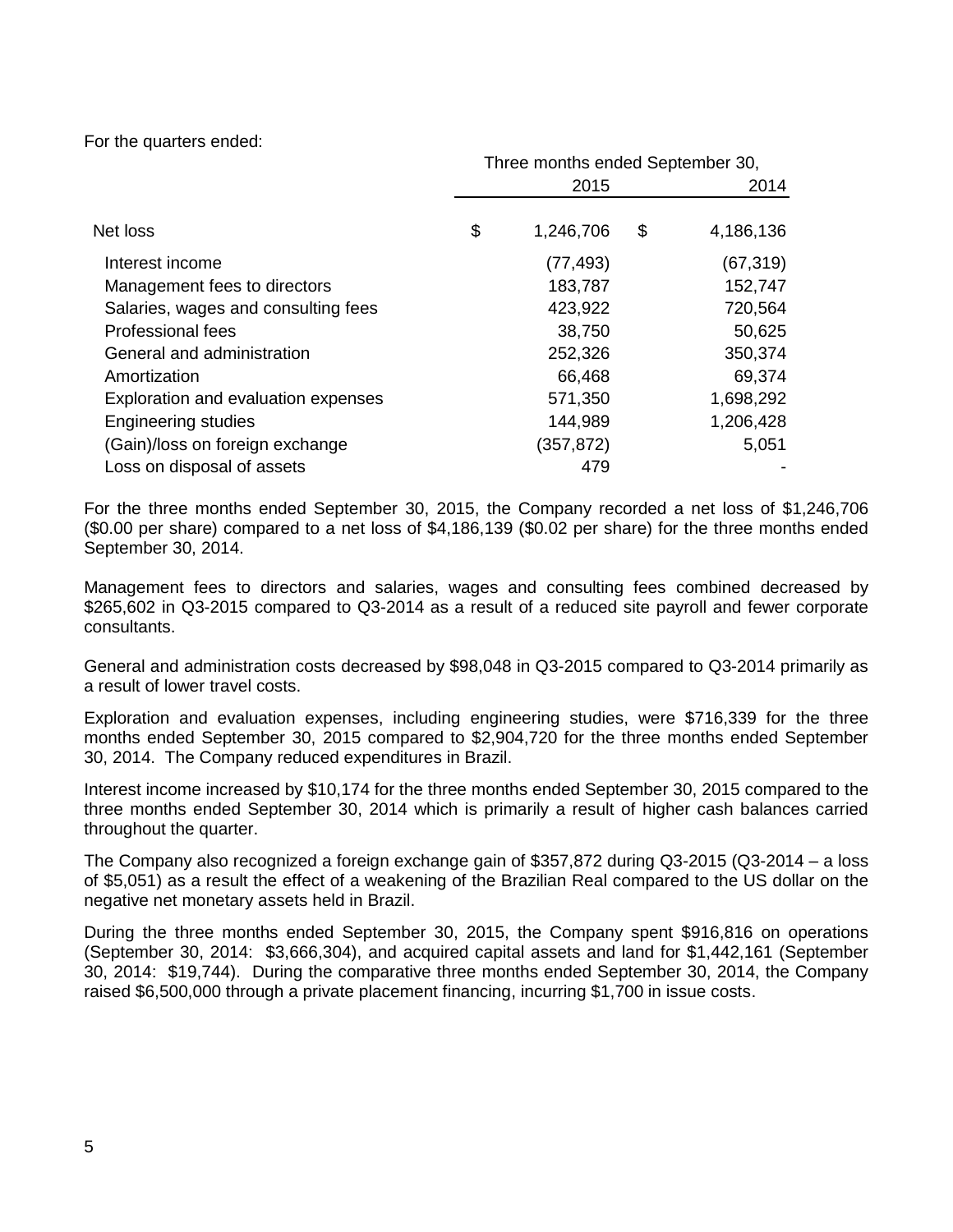For the quarters ended:

|                                     | Three months ended September 30, |            |    |           |  |  |
|-------------------------------------|----------------------------------|------------|----|-----------|--|--|
|                                     |                                  | 2015       |    | 2014      |  |  |
| Net loss                            | \$                               | 1,246,706  | \$ | 4,186,136 |  |  |
| Interest income                     |                                  | (77, 493)  |    | (67, 319) |  |  |
| Management fees to directors        |                                  | 183,787    |    | 152,747   |  |  |
| Salaries, wages and consulting fees |                                  | 423,922    |    | 720,564   |  |  |
| Professional fees                   |                                  | 38,750     |    | 50,625    |  |  |
| General and administration          |                                  | 252,326    |    | 350,374   |  |  |
| Amortization                        |                                  | 66,468     |    | 69,374    |  |  |
| Exploration and evaluation expenses |                                  | 571,350    |    | 1,698,292 |  |  |
| <b>Engineering studies</b>          |                                  | 144,989    |    | 1,206,428 |  |  |
| (Gain)/loss on foreign exchange     |                                  | (357, 872) |    | 5,051     |  |  |
| Loss on disposal of assets          |                                  | 479        |    |           |  |  |

For the three months ended September 30, 2015, the Company recorded a net loss of \$1,246,706 (\$0.00 per share) compared to a net loss of \$4,186,139 (\$0.02 per share) for the three months ended September 30, 2014.

Management fees to directors and salaries, wages and consulting fees combined decreased by \$265,602 in Q3-2015 compared to Q3-2014 as a result of a reduced site payroll and fewer corporate consultants.

General and administration costs decreased by \$98,048 in Q3-2015 compared to Q3-2014 primarily as a result of lower travel costs.

Exploration and evaluation expenses, including engineering studies, were \$716,339 for the three months ended September 30, 2015 compared to \$2,904,720 for the three months ended September 30, 2014. The Company reduced expenditures in Brazil.

Interest income increased by \$10,174 for the three months ended September 30, 2015 compared to the three months ended September 30, 2014 which is primarily a result of higher cash balances carried throughout the quarter.

The Company also recognized a foreign exchange gain of \$357,872 during Q3-2015 (Q3-2014 – a loss of \$5,051) as a result the effect of a weakening of the Brazilian Real compared to the US dollar on the negative net monetary assets held in Brazil.

During the three months ended September 30, 2015, the Company spent \$916,816 on operations (September 30, 2014: \$3,666,304), and acquired capital assets and land for \$1,442,161 (September 30, 2014: \$19,744). During the comparative three months ended September 30, 2014, the Company raised \$6,500,000 through a private placement financing, incurring \$1,700 in issue costs.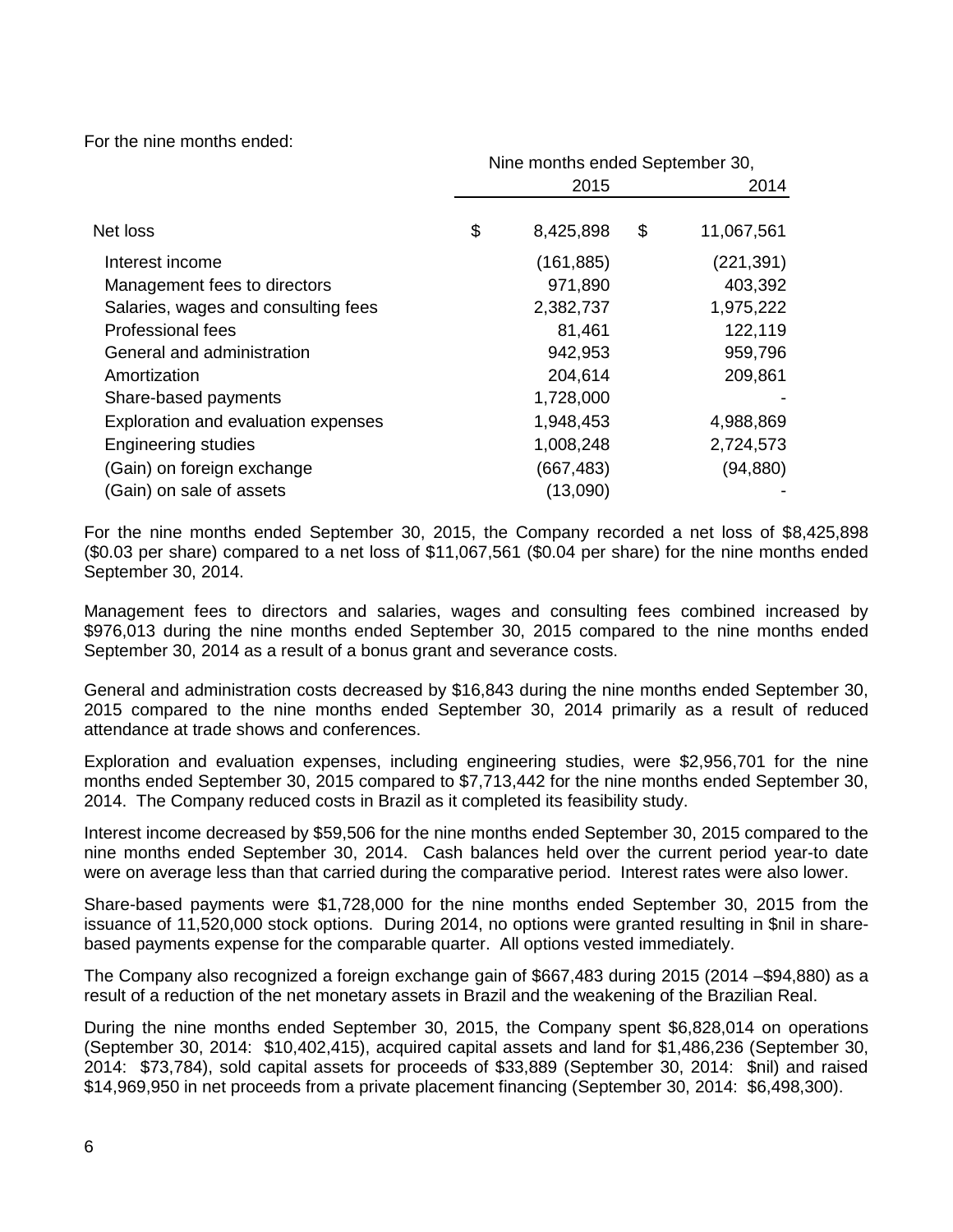For the nine months ended:

|                                     | Nine months ended September 30, |            |    |            |  |  |
|-------------------------------------|---------------------------------|------------|----|------------|--|--|
|                                     |                                 | 2015       |    | 2014       |  |  |
| Net loss                            | \$                              | 8,425,898  | \$ | 11,067,561 |  |  |
| Interest income                     |                                 | (161, 885) |    | (221, 391) |  |  |
| Management fees to directors        |                                 | 971,890    |    | 403,392    |  |  |
| Salaries, wages and consulting fees |                                 | 2,382,737  |    | 1,975,222  |  |  |
| Professional fees                   |                                 | 81,461     |    | 122,119    |  |  |
| General and administration          |                                 | 942,953    |    | 959,796    |  |  |
| Amortization                        |                                 | 204,614    |    | 209,861    |  |  |
| Share-based payments                |                                 | 1,728,000  |    |            |  |  |
| Exploration and evaluation expenses |                                 | 1,948,453  |    | 4,988,869  |  |  |
| <b>Engineering studies</b>          |                                 | 1,008,248  |    | 2,724,573  |  |  |
| (Gain) on foreign exchange          |                                 | (667, 483) |    | (94,880)   |  |  |
| (Gain) on sale of assets            |                                 | (13,090)   |    |            |  |  |

For the nine months ended September 30, 2015, the Company recorded a net loss of \$8,425,898 (\$0.03 per share) compared to a net loss of \$11,067,561 (\$0.04 per share) for the nine months ended September 30, 2014.

Management fees to directors and salaries, wages and consulting fees combined increased by \$976,013 during the nine months ended September 30, 2015 compared to the nine months ended September 30, 2014 as a result of a bonus grant and severance costs.

General and administration costs decreased by \$16,843 during the nine months ended September 30, 2015 compared to the nine months ended September 30, 2014 primarily as a result of reduced attendance at trade shows and conferences.

Exploration and evaluation expenses, including engineering studies, were \$2,956,701 for the nine months ended September 30, 2015 compared to \$7,713,442 for the nine months ended September 30, 2014. The Company reduced costs in Brazil as it completed its feasibility study.

Interest income decreased by \$59,506 for the nine months ended September 30, 2015 compared to the nine months ended September 30, 2014. Cash balances held over the current period year-to date were on average less than that carried during the comparative period. Interest rates were also lower.

Share-based payments were \$1,728,000 for the nine months ended September 30, 2015 from the issuance of 11,520,000 stock options. During 2014, no options were granted resulting in \$nil in sharebased payments expense for the comparable quarter. All options vested immediately.

The Company also recognized a foreign exchange gain of \$667,483 during 2015 (2014 –\$94,880) as a result of a reduction of the net monetary assets in Brazil and the weakening of the Brazilian Real.

During the nine months ended September 30, 2015, the Company spent \$6,828,014 on operations (September 30, 2014: \$10,402,415), acquired capital assets and land for \$1,486,236 (September 30, 2014: \$73,784), sold capital assets for proceeds of \$33,889 (September 30, 2014: \$nil) and raised \$14,969,950 in net proceeds from a private placement financing (September 30, 2014: \$6,498,300).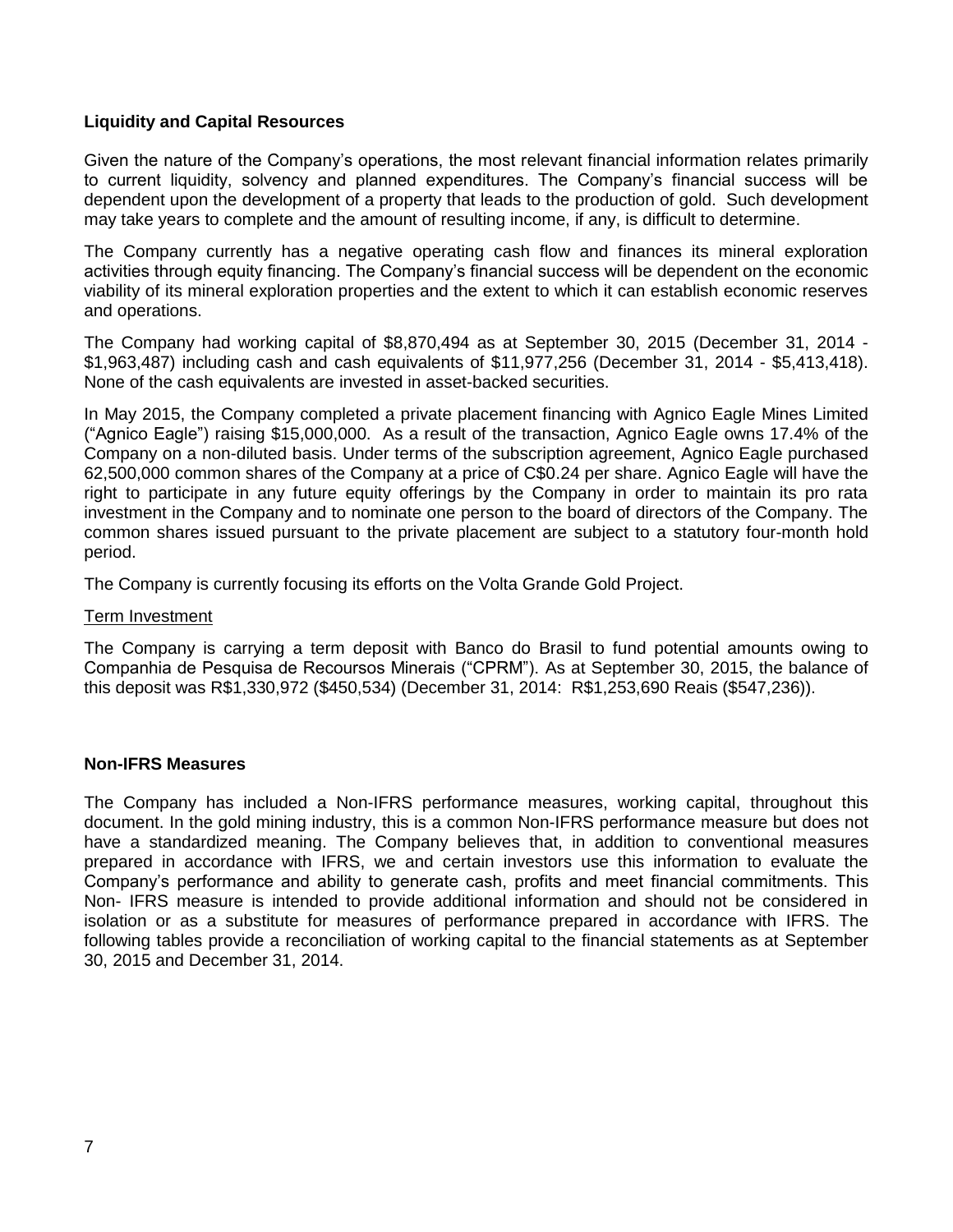## **Liquidity and Capital Resources**

Given the nature of the Company's operations, the most relevant financial information relates primarily to current liquidity, solvency and planned expenditures. The Company's financial success will be dependent upon the development of a property that leads to the production of gold. Such development may take years to complete and the amount of resulting income, if any, is difficult to determine.

The Company currently has a negative operating cash flow and finances its mineral exploration activities through equity financing. The Company's financial success will be dependent on the economic viability of its mineral exploration properties and the extent to which it can establish economic reserves and operations.

The Company had working capital of \$8,870,494 as at September 30, 2015 (December 31, 2014 - \$1,963,487) including cash and cash equivalents of \$11,977,256 (December 31, 2014 - \$5,413,418). None of the cash equivalents are invested in asset-backed securities.

In May 2015, the Company completed a private placement financing with Agnico Eagle Mines Limited ("Agnico Eagle") raising \$15,000,000. As a result of the transaction, Agnico Eagle owns 17.4% of the Company on a non-diluted basis. Under terms of the subscription agreement, Agnico Eagle purchased 62,500,000 common shares of the Company at a price of C\$0.24 per share. Agnico Eagle will have the right to participate in any future equity offerings by the Company in order to maintain its pro rata investment in the Company and to nominate one person to the board of directors of the Company. The common shares issued pursuant to the private placement are subject to a statutory four-month hold period.

The Company is currently focusing its efforts on the Volta Grande Gold Project.

## Term Investment

The Company is carrying a term deposit with Banco do Brasil to fund potential amounts owing to Companhia de Pesquisa de Recoursos Minerais ("CPRM"). As at September 30, 2015, the balance of this deposit was R\$1,330,972 (\$450,534) (December 31, 2014: R\$1,253,690 Reais (\$547,236)).

## **Non-IFRS Measures**

The Company has included a Non-IFRS performance measures, working capital, throughout this document. In the gold mining industry, this is a common Non-IFRS performance measure but does not have a standardized meaning. The Company believes that, in addition to conventional measures prepared in accordance with IFRS, we and certain investors use this information to evaluate the Company's performance and ability to generate cash, profits and meet financial commitments. This Non- IFRS measure is intended to provide additional information and should not be considered in isolation or as a substitute for measures of performance prepared in accordance with IFRS. The following tables provide a reconciliation of working capital to the financial statements as at September 30, 2015 and December 31, 2014.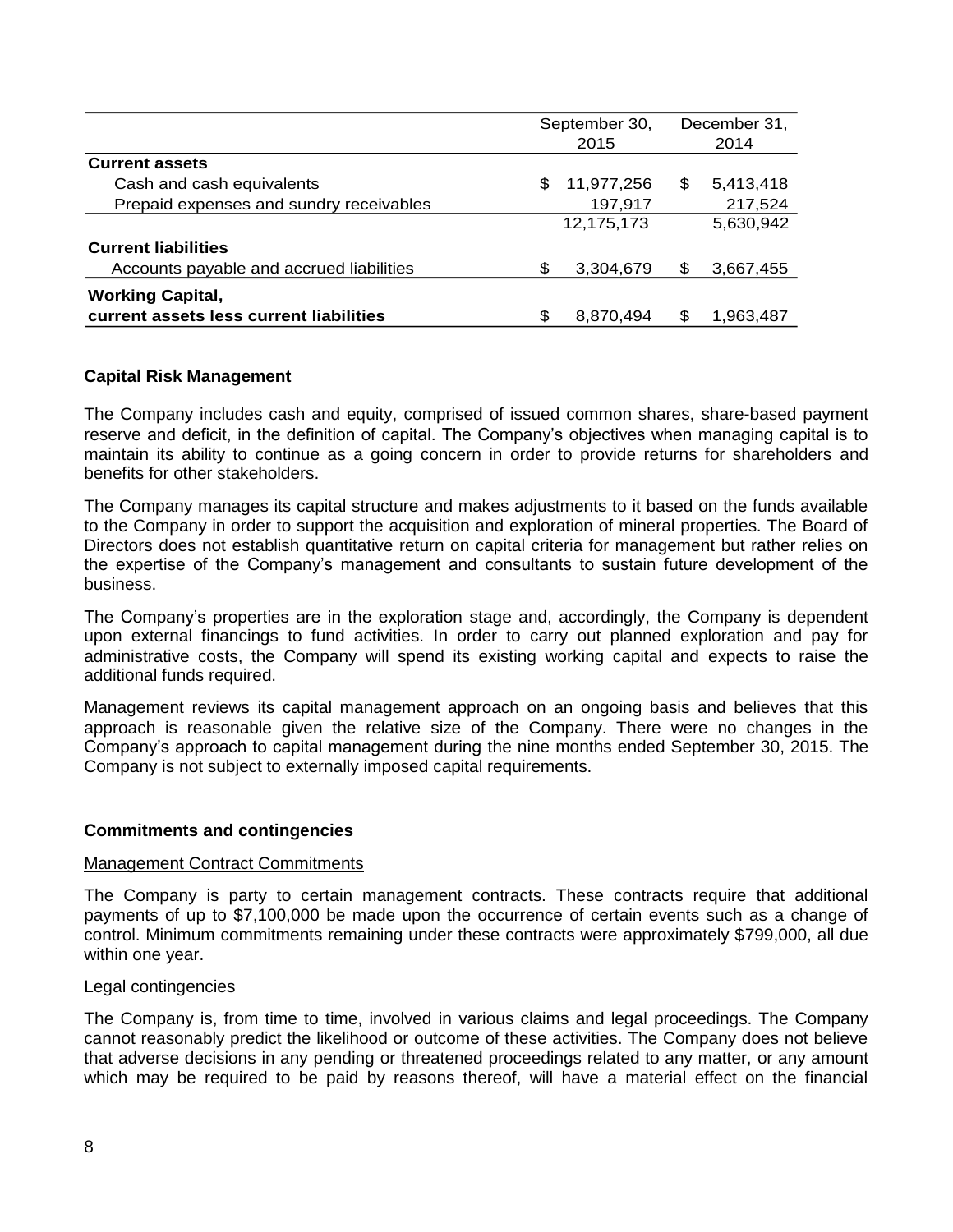|                                          | September 30, |              |     | December 31, |
|------------------------------------------|---------------|--------------|-----|--------------|
|                                          | 2015          |              |     | 2014         |
| <b>Current assets</b>                    |               |              |     |              |
| Cash and cash equivalents                | \$            | 11,977,256   | S   | 5,413,418    |
| Prepaid expenses and sundry receivables  |               | 197,917      |     | 217,524      |
|                                          |               | 12, 175, 173 |     | 5,630,942    |
| <b>Current liabilities</b>               |               |              |     |              |
| Accounts payable and accrued liabilities | S             | 3,304,679    | \$. | 3,667,455    |
| <b>Working Capital,</b>                  |               |              |     |              |
| current assets less current liabilities  | \$            | 8,870,494    | S   | 1,963,487    |

## **Capital Risk Management**

The Company includes cash and equity, comprised of issued common shares, share-based payment reserve and deficit, in the definition of capital. The Company's objectives when managing capital is to maintain its ability to continue as a going concern in order to provide returns for shareholders and benefits for other stakeholders.

The Company manages its capital structure and makes adjustments to it based on the funds available to the Company in order to support the acquisition and exploration of mineral properties. The Board of Directors does not establish quantitative return on capital criteria for management but rather relies on the expertise of the Company's management and consultants to sustain future development of the business.

The Company's properties are in the exploration stage and, accordingly, the Company is dependent upon external financings to fund activities. In order to carry out planned exploration and pay for administrative costs, the Company will spend its existing working capital and expects to raise the additional funds required.

Management reviews its capital management approach on an ongoing basis and believes that this approach is reasonable given the relative size of the Company. There were no changes in the Company's approach to capital management during the nine months ended September 30, 2015. The Company is not subject to externally imposed capital requirements.

## **Commitments and contingencies**

#### Management Contract Commitments

The Company is party to certain management contracts. These contracts require that additional payments of up to \$7,100,000 be made upon the occurrence of certain events such as a change of control. Minimum commitments remaining under these contracts were approximately \$799,000, all due within one year.

#### Legal contingencies

The Company is, from time to time, involved in various claims and legal proceedings. The Company cannot reasonably predict the likelihood or outcome of these activities. The Company does not believe that adverse decisions in any pending or threatened proceedings related to any matter, or any amount which may be required to be paid by reasons thereof, will have a material effect on the financial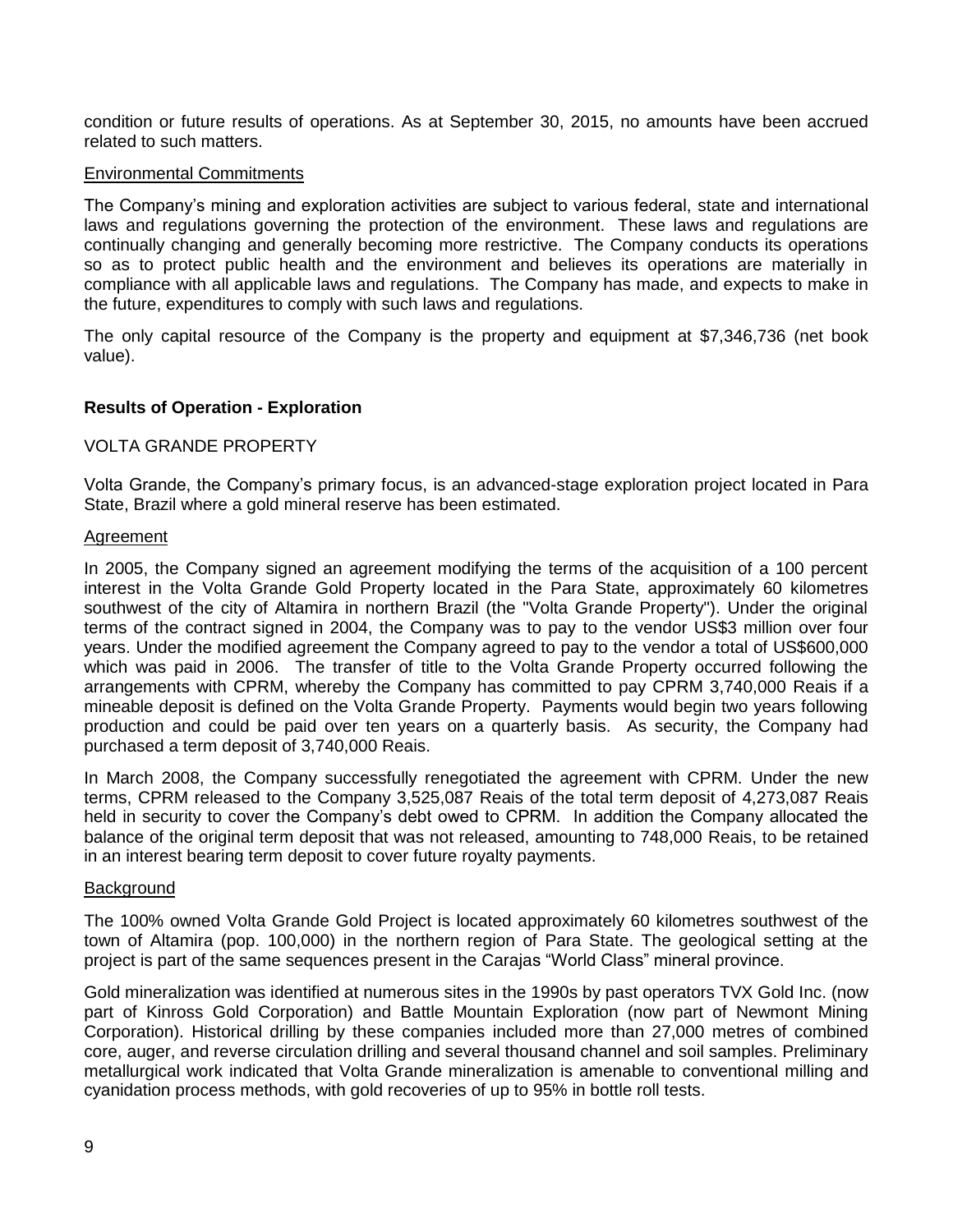condition or future results of operations. As at September 30, 2015, no amounts have been accrued related to such matters.

## Environmental Commitments

The Company's mining and exploration activities are subject to various federal, state and international laws and regulations governing the protection of the environment. These laws and regulations are continually changing and generally becoming more restrictive. The Company conducts its operations so as to protect public health and the environment and believes its operations are materially in compliance with all applicable laws and regulations. The Company has made, and expects to make in the future, expenditures to comply with such laws and regulations.

The only capital resource of the Company is the property and equipment at \$7,346,736 (net book value).

## **Results of Operation - Exploration**

## VOLTA GRANDE PROPERTY

Volta Grande, the Company's primary focus, is an advanced-stage exploration project located in Para State, Brazil where a gold mineral reserve has been estimated.

#### Agreement

In 2005, the Company signed an agreement modifying the terms of the acquisition of a 100 percent interest in the Volta Grande Gold Property located in the Para State, approximately 60 kilometres southwest of the city of Altamira in northern Brazil (the "Volta Grande Property"). Under the original terms of the contract signed in 2004, the Company was to pay to the vendor US\$3 million over four years. Under the modified agreement the Company agreed to pay to the vendor a total of US\$600,000 which was paid in 2006. The transfer of title to the Volta Grande Property occurred following the arrangements with CPRM, whereby the Company has committed to pay CPRM 3,740,000 Reais if a mineable deposit is defined on the Volta Grande Property. Payments would begin two years following production and could be paid over ten years on a quarterly basis. As security, the Company had purchased a term deposit of 3,740,000 Reais.

In March 2008, the Company successfully renegotiated the agreement with CPRM. Under the new terms, CPRM released to the Company 3,525,087 Reais of the total term deposit of 4,273,087 Reais held in security to cover the Company's debt owed to CPRM. In addition the Company allocated the balance of the original term deposit that was not released, amounting to 748,000 Reais, to be retained in an interest bearing term deposit to cover future royalty payments.

## **Background**

The 100% owned Volta Grande Gold Project is located approximately 60 kilometres southwest of the town of Altamira (pop. 100,000) in the northern region of Para State. The geological setting at the project is part of the same sequences present in the Carajas "World Class" mineral province.

Gold mineralization was identified at numerous sites in the 1990s by past operators TVX Gold Inc. (now part of Kinross Gold Corporation) and Battle Mountain Exploration (now part of Newmont Mining Corporation). Historical drilling by these companies included more than 27,000 metres of combined core, auger, and reverse circulation drilling and several thousand channel and soil samples. Preliminary metallurgical work indicated that Volta Grande mineralization is amenable to conventional milling and cyanidation process methods, with gold recoveries of up to 95% in bottle roll tests.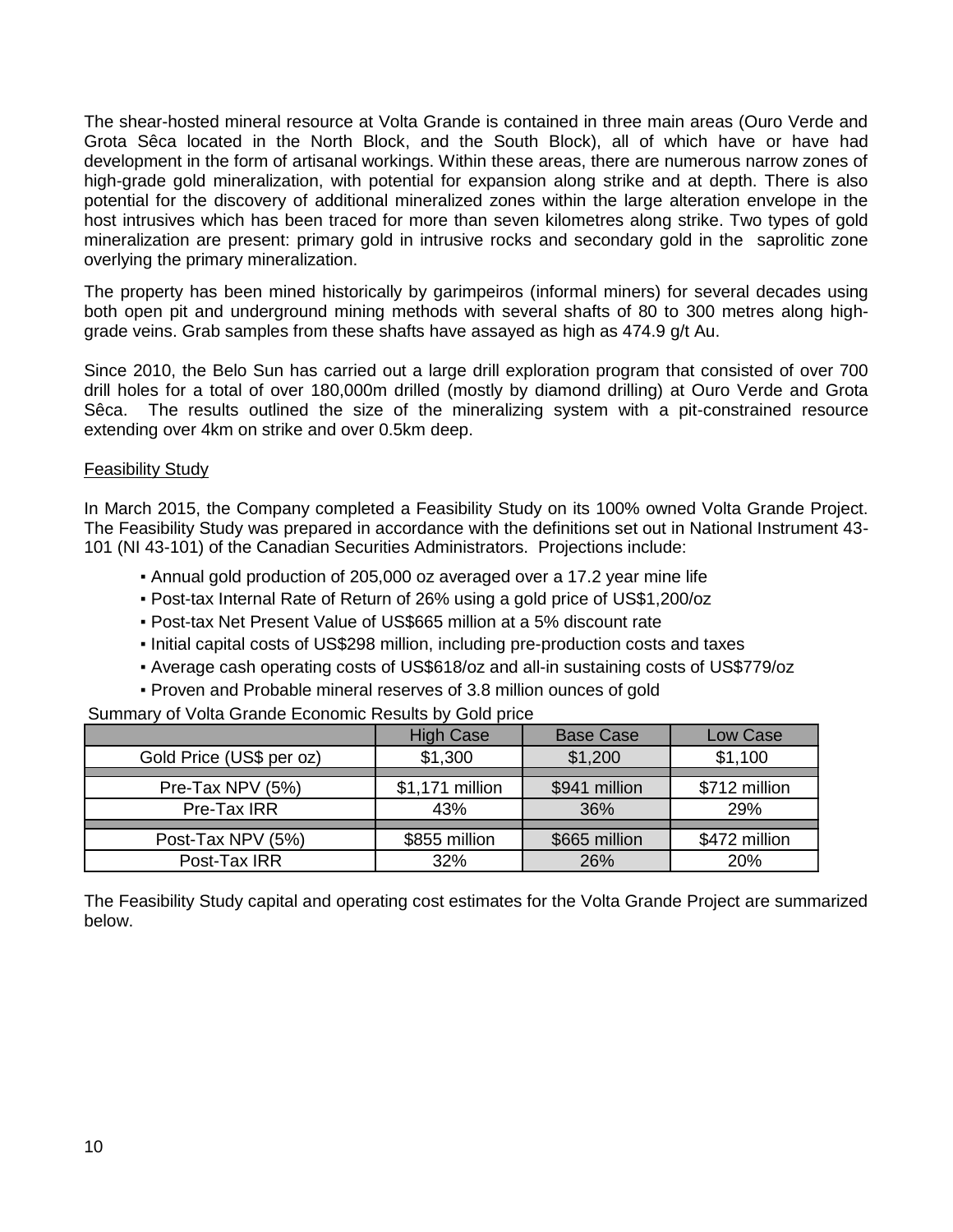The shear-hosted mineral resource at Volta Grande is contained in three main areas (Ouro Verde and Grota Sêca located in the North Block, and the South Block), all of which have or have had development in the form of artisanal workings. Within these areas, there are numerous narrow zones of high-grade gold mineralization, with potential for expansion along strike and at depth. There is also potential for the discovery of additional mineralized zones within the large alteration envelope in the host intrusives which has been traced for more than seven kilometres along strike. Two types of gold mineralization are present: primary gold in intrusive rocks and secondary gold in the saprolitic zone overlying the primary mineralization.

The property has been mined historically by garimpeiros (informal miners) for several decades using both open pit and underground mining methods with several shafts of 80 to 300 metres along highgrade veins. Grab samples from these shafts have assayed as high as 474.9 g/t Au.

Since 2010, the Belo Sun has carried out a large drill exploration program that consisted of over 700 drill holes for a total of over 180,000m drilled (mostly by diamond drilling) at Ouro Verde and Grota Sêca. The results outlined the size of the mineralizing system with a pit-constrained resource extending over 4km on strike and over 0.5km deep.

## Feasibility Study

In March 2015, the Company completed a Feasibility Study on its 100% owned Volta Grande Project. The Feasibility Study was prepared in accordance with the definitions set out in National Instrument 43- 101 (NI 43-101) of the Canadian Securities Administrators. Projections include:

- Annual gold production of 205,000 oz averaged over a 17.2 year mine life
- Post-tax Internal Rate of Return of 26% using a gold price of US\$1,200/oz
- Post-tax Net Present Value of US\$665 million at a 5% discount rate
- Initial capital costs of US\$298 million, including pre-production costs and taxes
- Average cash operating costs of US\$618/oz and all-in sustaining costs of US\$779/oz
- Proven and Probable mineral reserves of 3.8 million ounces of gold

|                          | <b>High Case</b> | <b>Base Case</b> | Low Case      |
|--------------------------|------------------|------------------|---------------|
| Gold Price (US\$ per oz) | \$1,300          | \$1,200          | \$1,100       |
|                          |                  |                  |               |
| Pre-Tax NPV (5%)         | \$1,171 million  | \$941 million    | \$712 million |
| Pre-Tax IRR              | 43%              | 36%              | <b>29%</b>    |
|                          |                  |                  |               |
| Post-Tax NPV (5%)        | \$855 million    | \$665 million    | \$472 million |
| Post-Tax IRR             | 32%              | 26%              | <b>20%</b>    |

Summary of Volta Grande Economic Results by Gold price

The Feasibility Study capital and operating cost estimates for the Volta Grande Project are summarized below.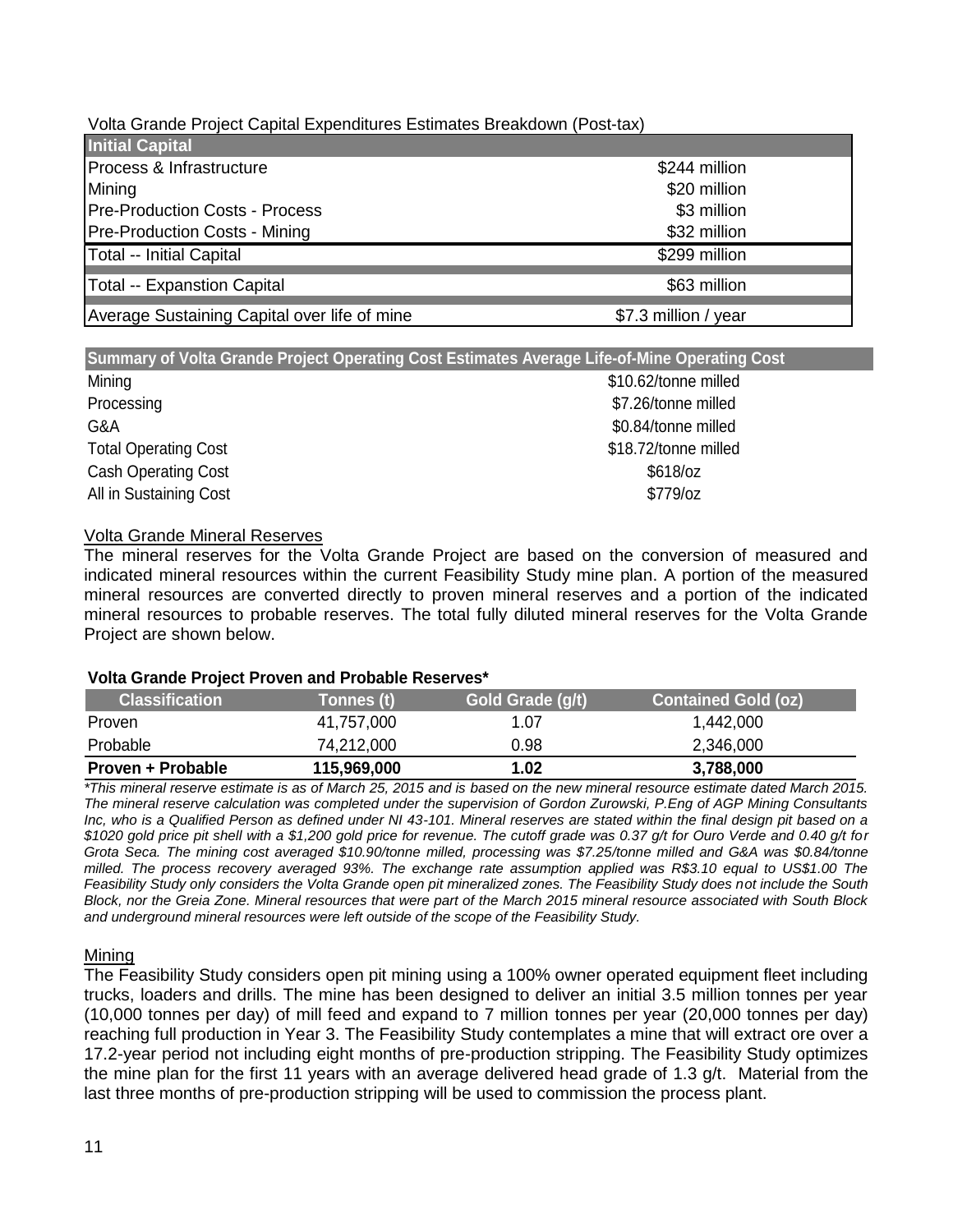Volta Grande Project Capital Expenditures Estimates Breakdown (Post-tax)

| <b>Initial Capital</b>                       |                      |
|----------------------------------------------|----------------------|
| Process & Infrastructure                     | \$244 million        |
| Mining                                       | \$20 million         |
| <b>Pre-Production Costs - Process</b>        | \$3 million          |
| <b>Pre-Production Costs - Mining</b>         | \$32 million         |
| Total -- Initial Capital                     | \$299 million        |
| Total -- Expanstion Capital                  | \$63 million         |
| Average Sustaining Capital over life of mine | \$7.3 million / year |

#### **Summary of Volta Grande Project Operating Cost Estimates Average Life-of-Mine Operating Cost**

| Mining                      | \$10.62/tonne milled |
|-----------------------------|----------------------|
| Processing                  | \$7.26/tonne milled  |
| G&A                         | \$0.84/tonne milled  |
| <b>Total Operating Cost</b> | \$18.72/tonne milled |
| <b>Cash Operating Cost</b>  | $$618$ /oz           |
| All in Sustaining Cost      | \$779/oz             |

## Volta Grande Mineral Reserves

The mineral reserves for the Volta Grande Project are based on the conversion of measured and indicated mineral resources within the current Feasibility Study mine plan. A portion of the measured mineral resources are converted directly to proven mineral reserves and a portion of the indicated mineral resources to probable reserves. The total fully diluted mineral reserves for the Volta Grande Project are shown below.

## **Volta Grande Project Proven and Probable Reserves\***

| <b>Classification</b>    | Tonnes (t)  | Gold Grade (g/t) | <b>Contained Gold (oz)</b> |
|--------------------------|-------------|------------------|----------------------------|
| Proven                   | 41,757,000  | 1.07             | 1,442,000                  |
| Probable                 | 74,212,000  | 0.98             | 2,346,000                  |
| <b>Proven + Probable</b> | 115,969,000 | 1.02             | 3,788,000                  |

*\*This mineral reserve estimate is as of March 25, 2015 and is based on the new mineral resource estimate dated March 2015. The mineral reserve calculation was completed under the supervision of Gordon Zurowski, P.Eng of AGP Mining Consultants Inc, who is a Qualified Person as defined under NI 43-101. Mineral reserves are stated within the final design pit based on a \$1020 gold price pit shell with a \$1,200 gold price for revenue. The cutoff grade was 0.37 g/t for Ouro Verde and 0.40 g/t for Grota Seca. The mining cost averaged \$10.90/tonne milled, processing was \$7.25/tonne milled and G&A was \$0.84/tonne milled. The process recovery averaged 93%. The exchange rate assumption applied was R\$3.10 equal to US\$1.00 The Feasibility Study only considers the Volta Grande open pit mineralized zones. The Feasibility Study does not include the South Block, nor the Greia Zone. Mineral resources that were part of the March 2015 mineral resource associated with South Block and underground mineral resources were left outside of the scope of the Feasibility Study.* 

# Mining

The Feasibility Study considers open pit mining using a 100% owner operated equipment fleet including trucks, loaders and drills. The mine has been designed to deliver an initial 3.5 million tonnes per year (10,000 tonnes per day) of mill feed and expand to 7 million tonnes per year (20,000 tonnes per day) reaching full production in Year 3. The Feasibility Study contemplates a mine that will extract ore over a 17.2-year period not including eight months of pre-production stripping. The Feasibility Study optimizes the mine plan for the first 11 years with an average delivered head grade of 1.3 g/t. Material from the last three months of pre-production stripping will be used to commission the process plant.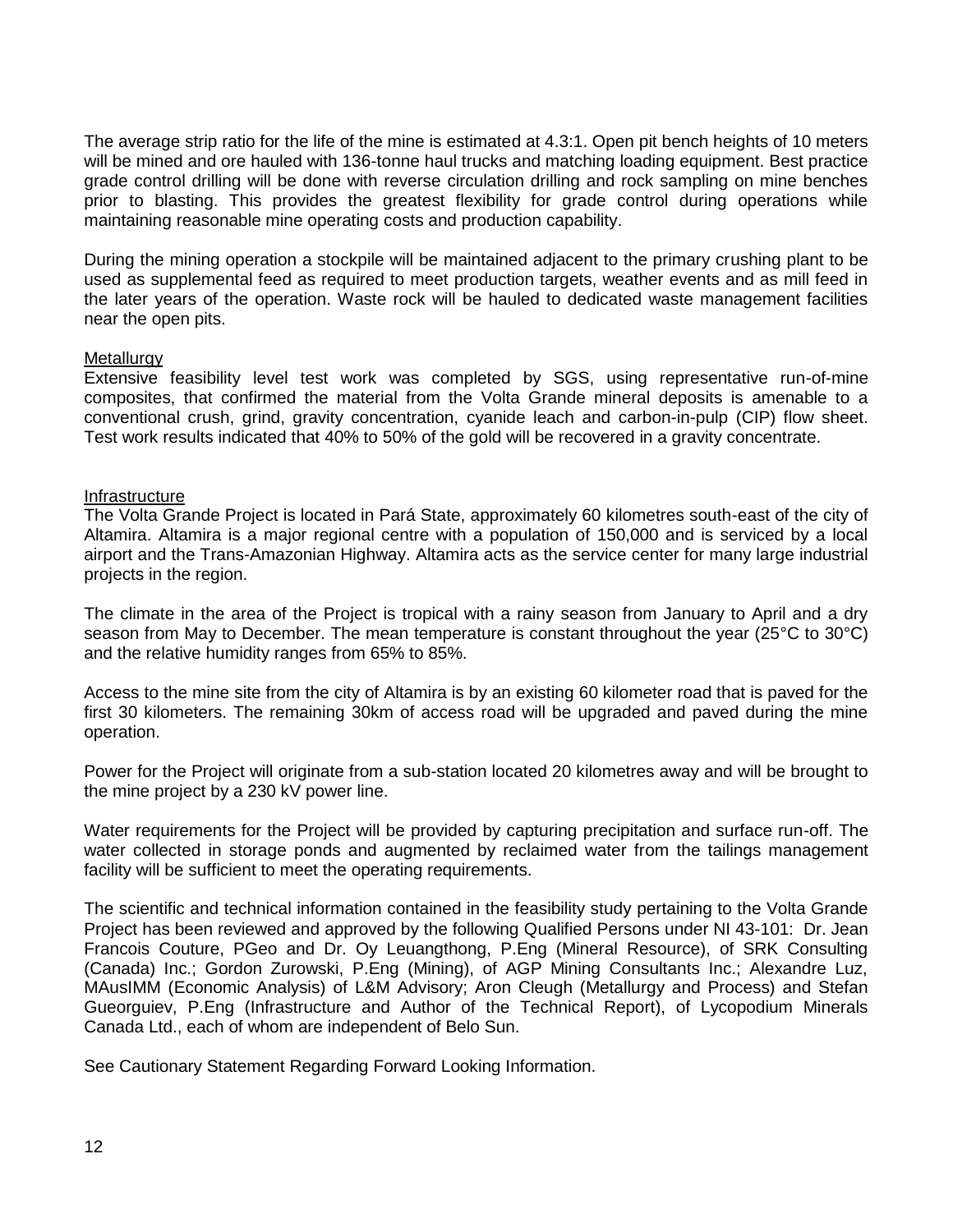The average strip ratio for the life of the mine is estimated at 4.3:1. Open pit bench heights of 10 meters will be mined and ore hauled with 136-tonne haul trucks and matching loading equipment. Best practice grade control drilling will be done with reverse circulation drilling and rock sampling on mine benches prior to blasting. This provides the greatest flexibility for grade control during operations while maintaining reasonable mine operating costs and production capability.

During the mining operation a stockpile will be maintained adjacent to the primary crushing plant to be used as supplemental feed as required to meet production targets, weather events and as mill feed in the later years of the operation. Waste rock will be hauled to dedicated waste management facilities near the open pits.

## **Metallurgy**

Extensive feasibility level test work was completed by SGS, using representative run-of-mine composites, that confirmed the material from the Volta Grande mineral deposits is amenable to a conventional crush, grind, gravity concentration, cyanide leach and carbon-in-pulp (CIP) flow sheet. Test work results indicated that 40% to 50% of the gold will be recovered in a gravity concentrate.

## Infrastructure

The Volta Grande Project is located in Pará State, approximately 60 kilometres south-east of the city of Altamira. Altamira is a major regional centre with a population of 150,000 and is serviced by a local airport and the Trans-Amazonian Highway. Altamira acts as the service center for many large industrial projects in the region.

The climate in the area of the Project is tropical with a rainy season from January to April and a dry season from May to December. The mean temperature is constant throughout the year (25°C to 30°C) and the relative humidity ranges from 65% to 85%.

Access to the mine site from the city of Altamira is by an existing 60 kilometer road that is paved for the first 30 kilometers. The remaining 30km of access road will be upgraded and paved during the mine operation.

Power for the Project will originate from a sub-station located 20 kilometres away and will be brought to the mine project by a 230 kV power line.

Water requirements for the Project will be provided by capturing precipitation and surface run-off. The water collected in storage ponds and augmented by reclaimed water from the tailings management facility will be sufficient to meet the operating requirements.

The scientific and technical information contained in the feasibility study pertaining to the Volta Grande Project has been reviewed and approved by the following Qualified Persons under NI 43-101: Dr. Jean Francois Couture, PGeo and Dr. Oy Leuangthong, P.Eng (Mineral Resource), of SRK Consulting (Canada) Inc.; Gordon Zurowski, P.Eng (Mining), of AGP Mining Consultants Inc.; Alexandre Luz, MAusIMM (Economic Analysis) of L&M Advisory; Aron Cleugh (Metallurgy and Process) and Stefan Gueorguiev, P.Eng (Infrastructure and Author of the Technical Report), of Lycopodium Minerals Canada Ltd., each of whom are independent of Belo Sun.

See Cautionary Statement Regarding Forward Looking Information.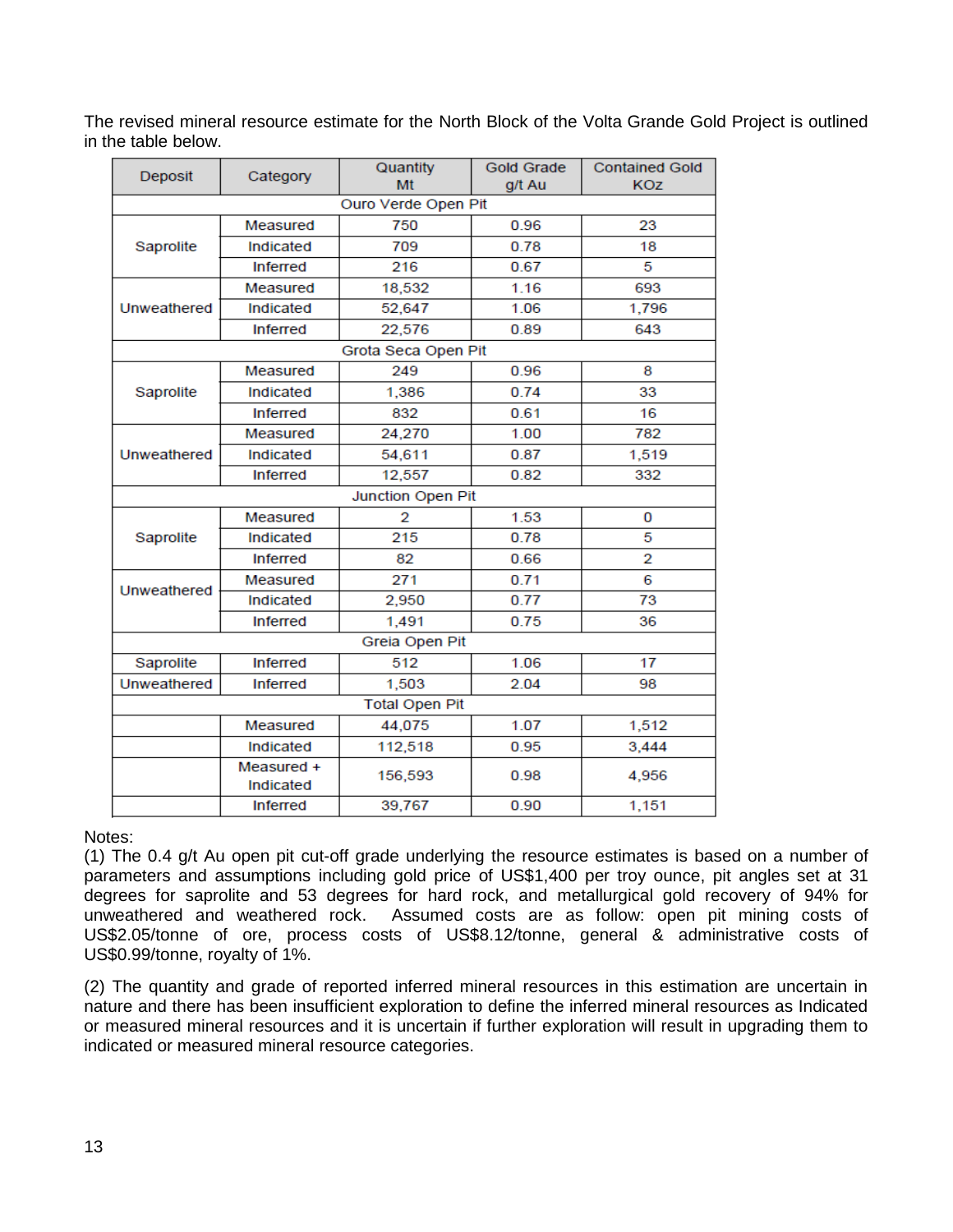The revised mineral resource estimate for the North Block of the Volta Grande Gold Project is outlined in the table below.

| Deposit     | Category                | Quantity              | <b>Gold Grade</b> | <b>Contained Gold</b> |  |  |  |  |  |  |
|-------------|-------------------------|-----------------------|-------------------|-----------------------|--|--|--|--|--|--|
|             |                         | Mt                    | g/t Au            | <b>KOZ</b>            |  |  |  |  |  |  |
|             | Ouro Verde Open Pit     |                       |                   |                       |  |  |  |  |  |  |
|             | Measured                | 750                   | 0.96              | 23                    |  |  |  |  |  |  |
| Saprolite   | Indicated               | 709                   | 0.78              | 18                    |  |  |  |  |  |  |
|             | <b>Inferred</b>         | 0.67                  | 5                 |                       |  |  |  |  |  |  |
|             | Measured                | 18,532                | 1.16              | 693                   |  |  |  |  |  |  |
| Unweathered | Indicated               | 52,647                | 1.06              | 1,796                 |  |  |  |  |  |  |
|             | <b>Inferred</b>         | 22,576                | 0.89              | 643                   |  |  |  |  |  |  |
|             |                         | Grota Seca Open Pit   |                   |                       |  |  |  |  |  |  |
|             | Measured                | 249                   | 0.96              | 8                     |  |  |  |  |  |  |
| Saprolite   | Indicated               | 1,386                 | 0.74              | 33                    |  |  |  |  |  |  |
|             | Inferred                | 832                   | 0.61              | 16                    |  |  |  |  |  |  |
|             | Measured                | 24,270                | 1.00              | 782                   |  |  |  |  |  |  |
| Unweathered | Indicated               | 54,611                |                   | 1,519                 |  |  |  |  |  |  |
|             | <b>Inferred</b>         | 12,557                | 0.82              | 332                   |  |  |  |  |  |  |
|             |                         | Junction Open Pit     |                   |                       |  |  |  |  |  |  |
|             | Measured                | 2                     | 1.53              | 0                     |  |  |  |  |  |  |
| Saprolite   | Indicated               | 215                   | 0.78              | 5                     |  |  |  |  |  |  |
|             | <b>Inferred</b>         | 82                    | 0.66              | $\overline{2}$        |  |  |  |  |  |  |
| Unweathered | Measured                | 271                   | 0.71              | 6                     |  |  |  |  |  |  |
|             | Indicated               | 2,950                 | 0.77              | 73                    |  |  |  |  |  |  |
|             | Inferred                | 1,491                 | 0.75              | 36                    |  |  |  |  |  |  |
|             |                         | Greia Open Pit        |                   |                       |  |  |  |  |  |  |
| Saprolite   | <b>Inferred</b>         | 512                   | 1.06              | 17                    |  |  |  |  |  |  |
| Unweathered | <b>Inferred</b>         | 1,503                 | 2.04              | 98                    |  |  |  |  |  |  |
|             |                         | <b>Total Open Pit</b> |                   |                       |  |  |  |  |  |  |
|             | Measured                | 44,075                | 1.07              | 1,512                 |  |  |  |  |  |  |
|             | Indicated               | 112,518               | 0.95              | 3,444                 |  |  |  |  |  |  |
|             | Measured +<br>Indicated | 156,593               | 0.98              | 4,956                 |  |  |  |  |  |  |
|             | <b>Inferred</b>         | 39,767                | 0.90              | 1,151                 |  |  |  |  |  |  |

Notes:

(1) The 0.4 g/t Au open pit cut-off grade underlying the resource estimates is based on a number of parameters and assumptions including gold price of US\$1,400 per troy ounce, pit angles set at 31 degrees for saprolite and 53 degrees for hard rock, and metallurgical gold recovery of 94% for unweathered and weathered rock. Assumed costs are as follow: open pit mining costs of US\$2.05/tonne of ore, process costs of US\$8.12/tonne, general & administrative costs of US\$0.99/tonne, royalty of 1%.

(2) The quantity and grade of reported inferred mineral resources in this estimation are uncertain in nature and there has been insufficient exploration to define the inferred mineral resources as Indicated or measured mineral resources and it is uncertain if further exploration will result in upgrading them to indicated or measured mineral resource categories.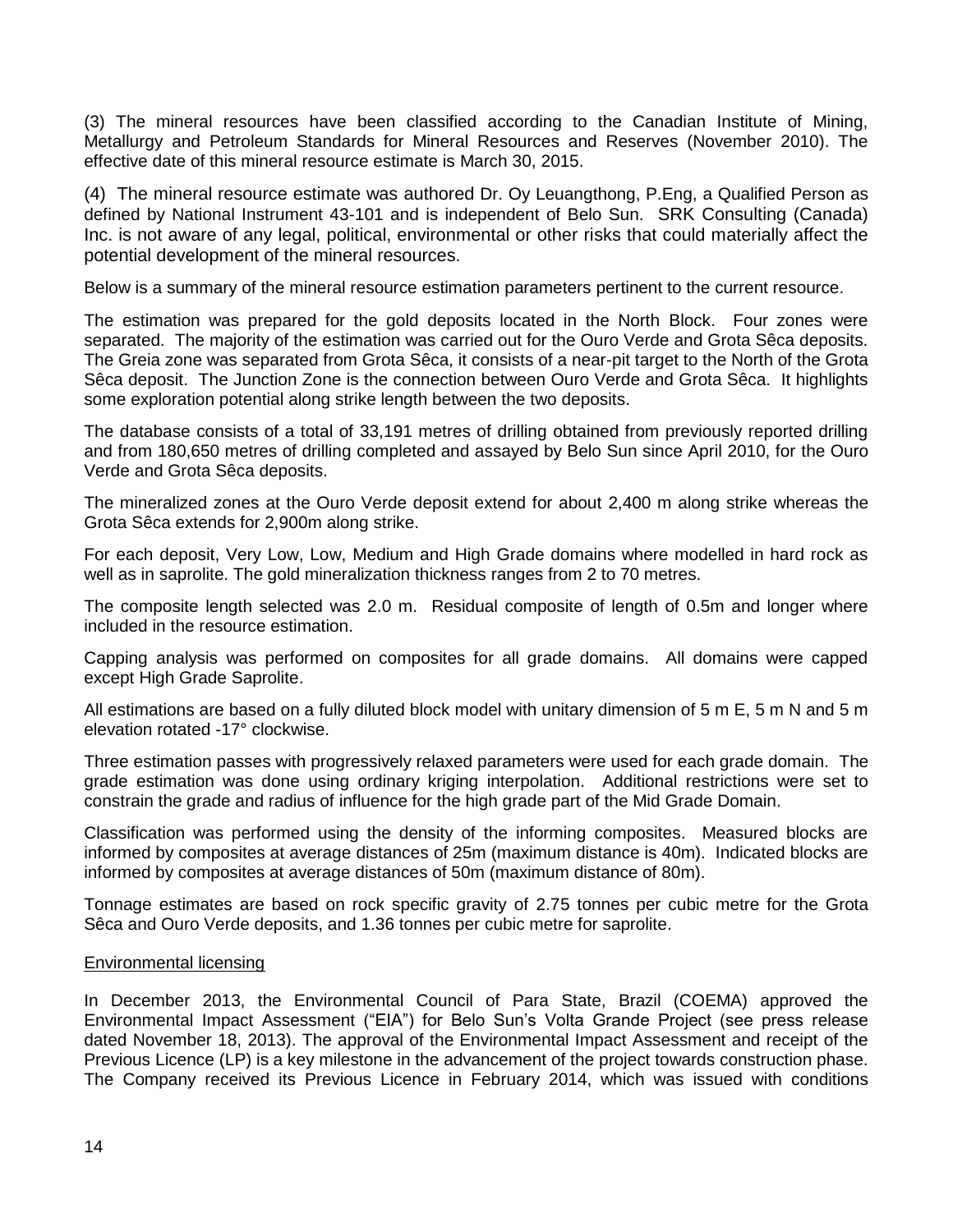(3) The mineral resources have been classified according to the Canadian Institute of Mining, Metallurgy and Petroleum Standards for Mineral Resources and Reserves (November 2010). The effective date of this mineral resource estimate is March 30, 2015.

(4) The mineral resource estimate was authored Dr. Oy Leuangthong, P.Eng, a Qualified Person as defined by National Instrument 43-101 and is independent of Belo Sun. SRK Consulting (Canada) Inc. is not aware of any legal, political, environmental or other risks that could materially affect the potential development of the mineral resources.

Below is a summary of the mineral resource estimation parameters pertinent to the current resource.

The estimation was prepared for the gold deposits located in the North Block. Four zones were separated. The majority of the estimation was carried out for the Ouro Verde and Grota Sêca deposits. The Greia zone was separated from Grota Sêca, it consists of a near-pit target to the North of the Grota Sêca deposit. The Junction Zone is the connection between Ouro Verde and Grota Sêca. It highlights some exploration potential along strike length between the two deposits.

The database consists of a total of 33,191 metres of drilling obtained from previously reported drilling and from 180,650 metres of drilling completed and assayed by Belo Sun since April 2010, for the Ouro Verde and Grota Sêca deposits.

The mineralized zones at the Ouro Verde deposit extend for about 2,400 m along strike whereas the Grota Sêca extends for 2,900m along strike.

For each deposit, Very Low, Low, Medium and High Grade domains where modelled in hard rock as well as in saprolite. The gold mineralization thickness ranges from 2 to 70 metres.

The composite length selected was 2.0 m. Residual composite of length of 0.5m and longer where included in the resource estimation.

Capping analysis was performed on composites for all grade domains. All domains were capped except High Grade Saprolite.

All estimations are based on a fully diluted block model with unitary dimension of 5 m E, 5 m N and 5 m elevation rotated -17° clockwise.

Three estimation passes with progressively relaxed parameters were used for each grade domain. The grade estimation was done using ordinary kriging interpolation. Additional restrictions were set to constrain the grade and radius of influence for the high grade part of the Mid Grade Domain.

Classification was performed using the density of the informing composites. Measured blocks are informed by composites at average distances of 25m (maximum distance is 40m). Indicated blocks are informed by composites at average distances of 50m (maximum distance of 80m).

Tonnage estimates are based on rock specific gravity of 2.75 tonnes per cubic metre for the Grota Sêca and Ouro Verde deposits, and 1.36 tonnes per cubic metre for saprolite.

## Environmental licensing

In December 2013, the Environmental Council of Para State, Brazil (COEMA) approved the Environmental Impact Assessment ("EIA") for Belo Sun's Volta Grande Project (see press release dated November 18, 2013). The approval of the Environmental Impact Assessment and receipt of the Previous Licence (LP) is a key milestone in the advancement of the project towards construction phase. The Company received its Previous Licence in February 2014, which was issued with conditions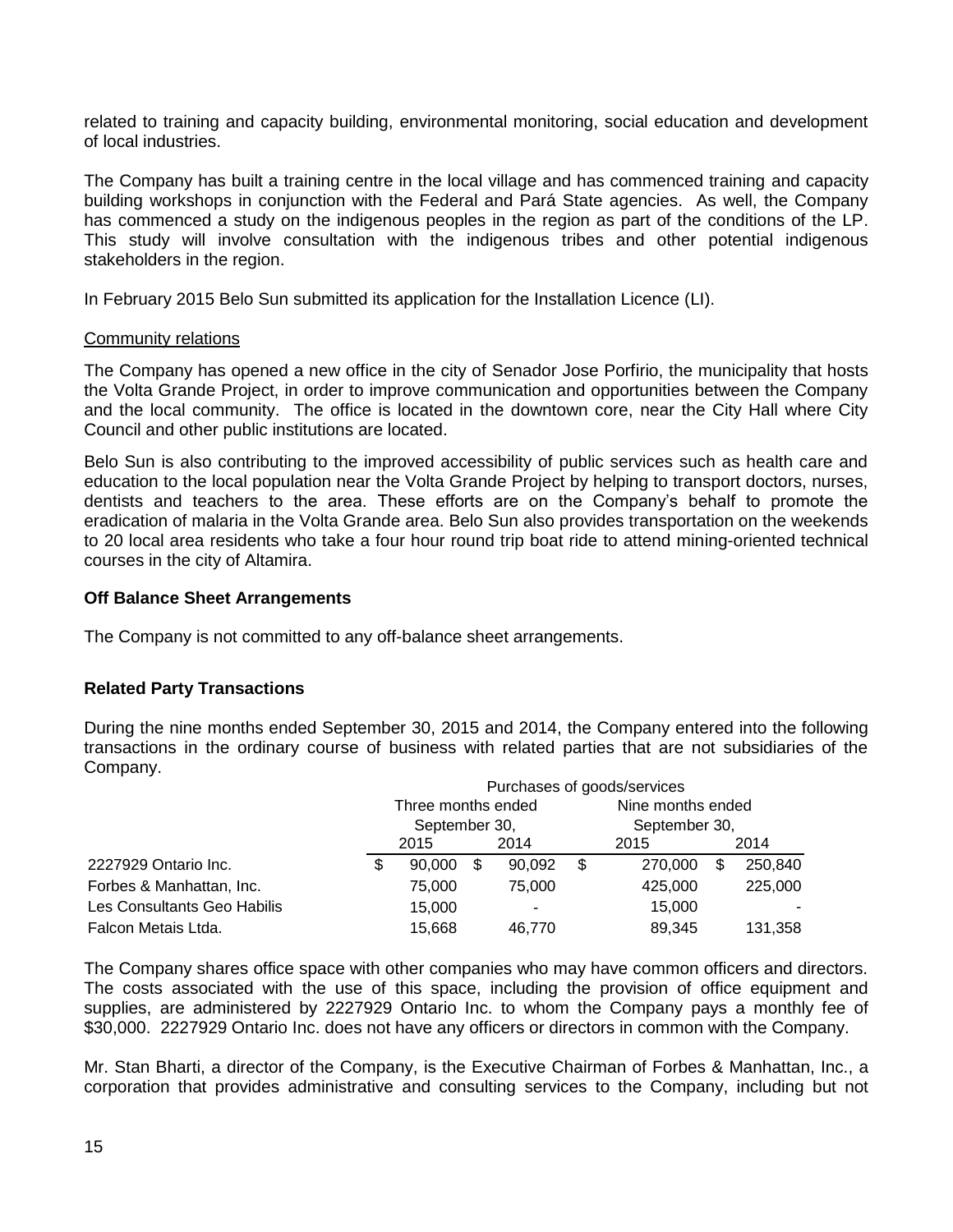related to training and capacity building, environmental monitoring, social education and development of local industries.

The Company has built a training centre in the local village and has commenced training and capacity building workshops in conjunction with the Federal and Pará State agencies. As well, the Company has commenced a study on the indigenous peoples in the region as part of the conditions of the LP. This study will involve consultation with the indigenous tribes and other potential indigenous stakeholders in the region.

In February 2015 Belo Sun submitted its application for the Installation Licence (LI).

## Community relations

The Company has opened a new office in the city of Senador Jose Porfirio, the municipality that hosts the Volta Grande Project, in order to improve communication and opportunities between the Company and the local community. The office is located in the downtown core, near the City Hall where City Council and other public institutions are located.

Belo Sun is also contributing to the improved accessibility of public services such as health care and education to the local population near the Volta Grande Project by helping to transport doctors, nurses, dentists and teachers to the area. These efforts are on the Company's behalf to promote the eradication of malaria in the Volta Grande area. Belo Sun also provides transportation on the weekends to 20 local area residents who take a four hour round trip boat ride to attend mining-oriented technical courses in the city of Altamira.

## **Off Balance Sheet Arrangements**

The Company is not committed to any off-balance sheet arrangements.

# **Related Party Transactions**

During the nine months ended September 30, 2015 and 2014, the Company entered into the following transactions in the ordinary course of business with related parties that are not subsidiaries of the Company.

|                             | Purchases of goods/services |                                     |   |        |               |                   |      |         |
|-----------------------------|-----------------------------|-------------------------------------|---|--------|---------------|-------------------|------|---------|
|                             |                             | Three months ended<br>September 30, |   |        |               | Nine months ended |      |         |
|                             |                             |                                     |   |        | September 30, |                   |      |         |
|                             |                             | 2015                                |   | 2014   | 2015          |                   | 2014 |         |
| 2227929 Ontario Inc.        | \$                          | 90,000                              | S | 90,092 | \$            | 270,000           | \$   | 250,840 |
| Forbes & Manhattan, Inc.    |                             | 75,000                              |   | 75,000 |               | 425,000           |      | 225,000 |
| Les Consultants Geo Habilis |                             | 15,000                              |   | ۰      |               | 15,000            |      |         |
| Falcon Metais Ltda.         |                             | 15,668                              |   | 46.770 |               | 89,345            |      | 131,358 |

The Company shares office space with other companies who may have common officers and directors. The costs associated with the use of this space, including the provision of office equipment and supplies, are administered by 2227929 Ontario Inc. to whom the Company pays a monthly fee of \$30,000. 2227929 Ontario Inc. does not have any officers or directors in common with the Company.

Mr. Stan Bharti, a director of the Company, is the Executive Chairman of Forbes & Manhattan, Inc., a corporation that provides administrative and consulting services to the Company, including but not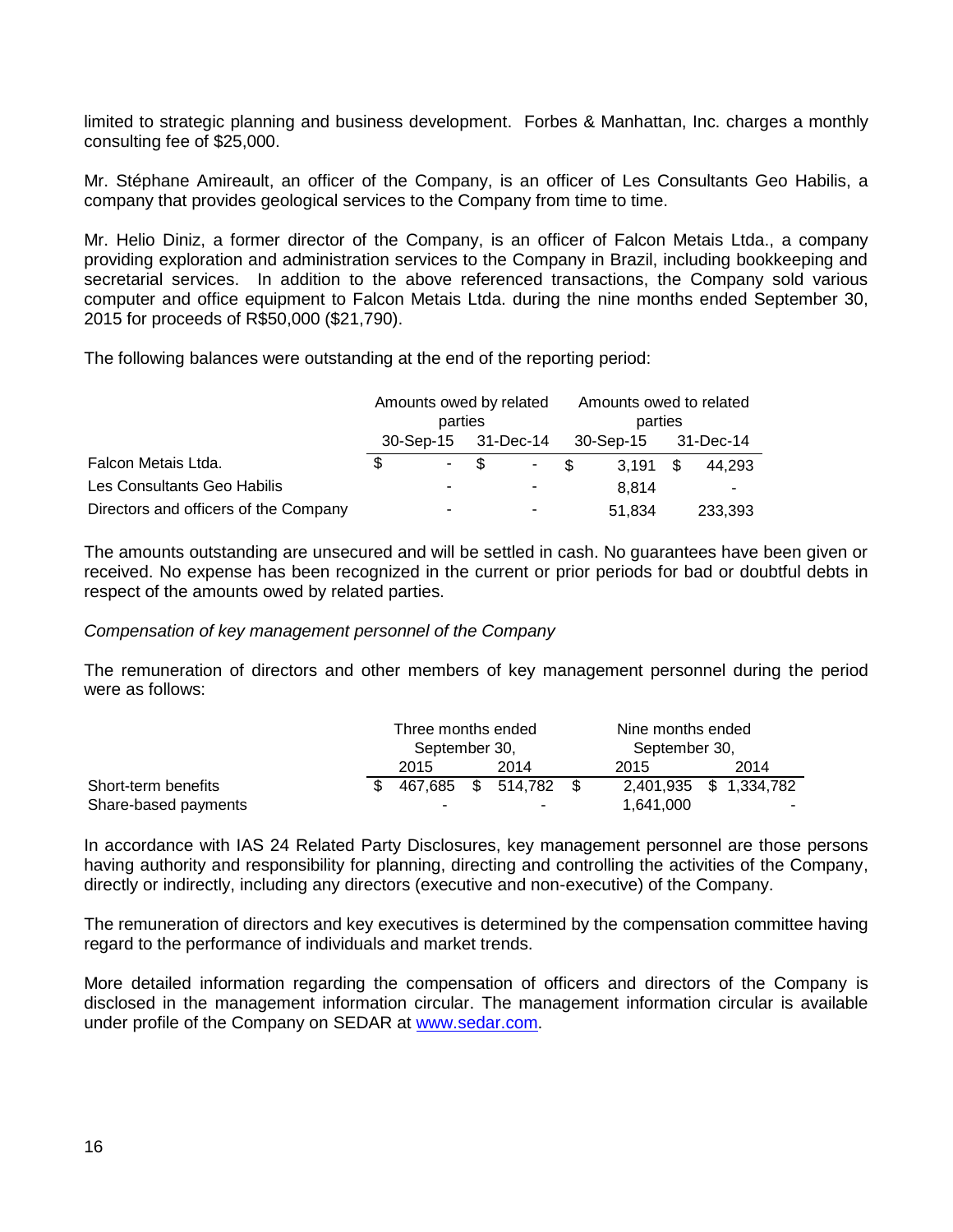limited to strategic planning and business development. Forbes & Manhattan, Inc. charges a monthly consulting fee of \$25,000.

Mr. Stéphane Amireault, an officer of the Company, is an officer of Les Consultants Geo Habilis, a company that provides geological services to the Company from time to time.

Mr. Helio Diniz, a former director of the Company, is an officer of Falcon Metais Ltda., a company providing exploration and administration services to the Company in Brazil, including bookkeeping and secretarial services. In addition to the above referenced transactions, the Company sold various computer and office equipment to Falcon Metais Ltda. during the nine months ended September 30, 2015 for proceeds of R\$50,000 (\$21,790).

The following balances were outstanding at the end of the reporting period:

|                                       | Amounts owed by related<br>parties |        |  |                | Amounts owed to related<br>parties |        |      |         |
|---------------------------------------|------------------------------------|--------|--|----------------|------------------------------------|--------|------|---------|
|                                       | 30-Sep-15 31-Dec-14                |        |  |                | 30-Sep-15 31-Dec-14                |        |      |         |
| Falcon Metais Ltda.                   | \$                                 | $-$ \$ |  | $\blacksquare$ | \$.                                | 3.191  | - \$ | 44.293  |
| Les Consultants Geo Habilis           |                                    | ۰      |  | ٠              |                                    | 8.814  |      | ۰       |
| Directors and officers of the Company |                                    | -      |  | ٠              |                                    | 51,834 |      | 233,393 |

The amounts outstanding are unsecured and will be settled in cash. No guarantees have been given or received. No expense has been recognized in the current or prior periods for bad or doubtful debts in respect of the amounts owed by related parties.

*Compensation of key management personnel of the Company*

The remuneration of directors and other members of key management personnel during the period were as follows:

|                      | Three months ended |  |         |  | Nine months ended |                        |  |  |
|----------------------|--------------------|--|---------|--|-------------------|------------------------|--|--|
|                      | September 30,      |  |         |  | September 30,     |                        |  |  |
|                      | 2015               |  | 2014    |  | 2015              | 2014                   |  |  |
| Short-term benefits  | 467.685 \$         |  | 514.782 |  |                   | 2,401,935 \$ 1,334,782 |  |  |
| Share-based payments |                    |  | ۰       |  | 1.641.000         |                        |  |  |

In accordance with IAS 24 Related Party Disclosures, key management personnel are those persons having authority and responsibility for planning, directing and controlling the activities of the Company, directly or indirectly, including any directors (executive and non-executive) of the Company.

The remuneration of directors and key executives is determined by the compensation committee having regard to the performance of individuals and market trends.

More detailed information regarding the compensation of officers and directors of the Company is disclosed in the management information circular. The management information circular is available under profile of the Company on SEDAR at [www.sedar.com.](http://www.sedar.com/)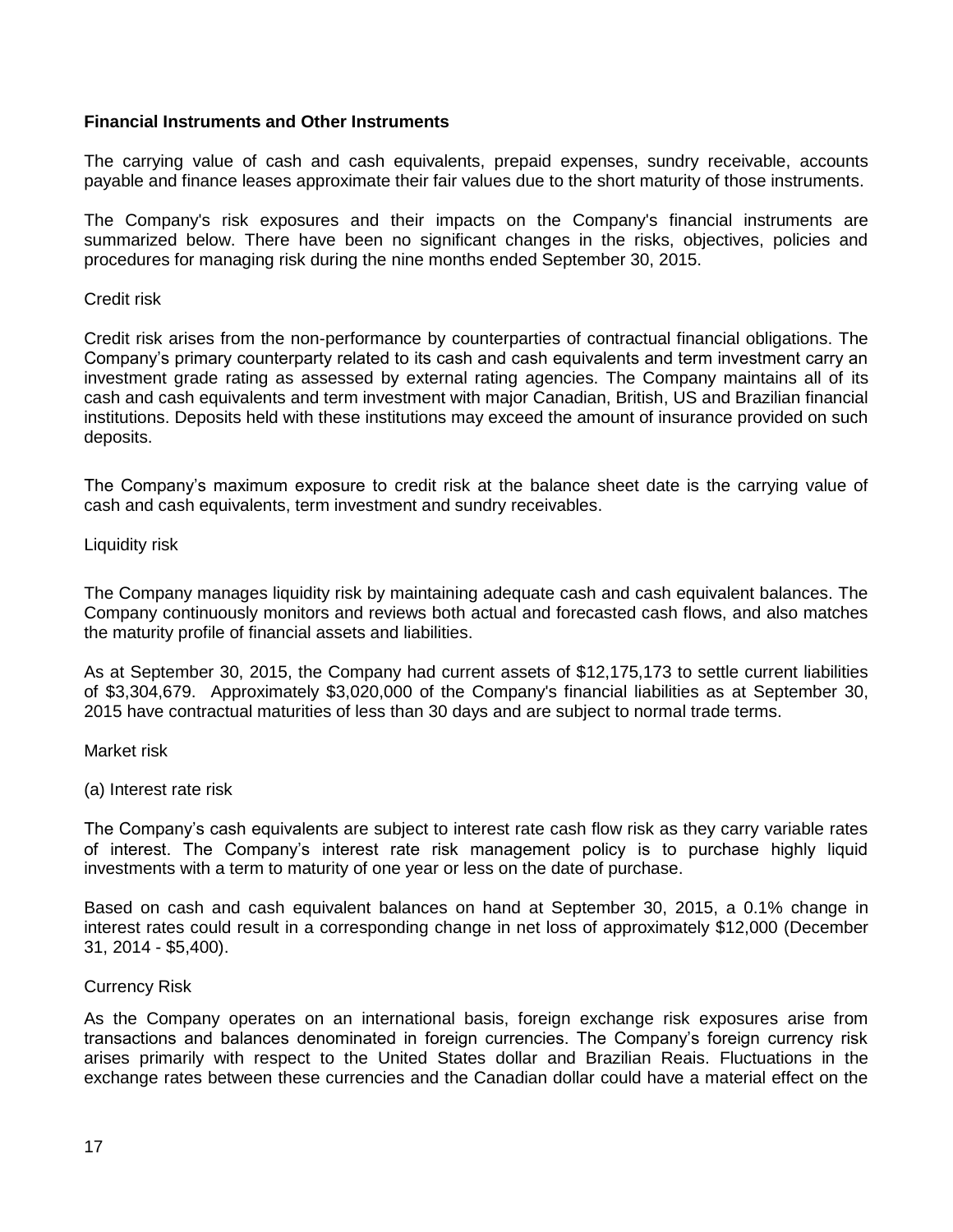# **Financial Instruments and Other Instruments**

The carrying value of cash and cash equivalents, prepaid expenses, sundry receivable, accounts payable and finance leases approximate their fair values due to the short maturity of those instruments.

The Company's risk exposures and their impacts on the Company's financial instruments are summarized below. There have been no significant changes in the risks, objectives, policies and procedures for managing risk during the nine months ended September 30, 2015.

#### Credit risk

Credit risk arises from the non-performance by counterparties of contractual financial obligations. The Company's primary counterparty related to its cash and cash equivalents and term investment carry an investment grade rating as assessed by external rating agencies. The Company maintains all of its cash and cash equivalents and term investment with major Canadian, British, US and Brazilian financial institutions. Deposits held with these institutions may exceed the amount of insurance provided on such deposits.

The Company's maximum exposure to credit risk at the balance sheet date is the carrying value of cash and cash equivalents, term investment and sundry receivables.

#### Liquidity risk

The Company manages liquidity risk by maintaining adequate cash and cash equivalent balances. The Company continuously monitors and reviews both actual and forecasted cash flows, and also matches the maturity profile of financial assets and liabilities.

As at September 30, 2015, the Company had current assets of \$12,175,173 to settle current liabilities of \$3,304,679. Approximately \$3,020,000 of the Company's financial liabilities as at September 30, 2015 have contractual maturities of less than 30 days and are subject to normal trade terms.

## Market risk

## (a) Interest rate risk

The Company's cash equivalents are subject to interest rate cash flow risk as they carry variable rates of interest. The Company's interest rate risk management policy is to purchase highly liquid investments with a term to maturity of one year or less on the date of purchase.

Based on cash and cash equivalent balances on hand at September 30, 2015, a 0.1% change in interest rates could result in a corresponding change in net loss of approximately \$12,000 (December 31, 2014 - \$5,400).

#### Currency Risk

As the Company operates on an international basis, foreign exchange risk exposures arise from transactions and balances denominated in foreign currencies. The Company's foreign currency risk arises primarily with respect to the United States dollar and Brazilian Reais. Fluctuations in the exchange rates between these currencies and the Canadian dollar could have a material effect on the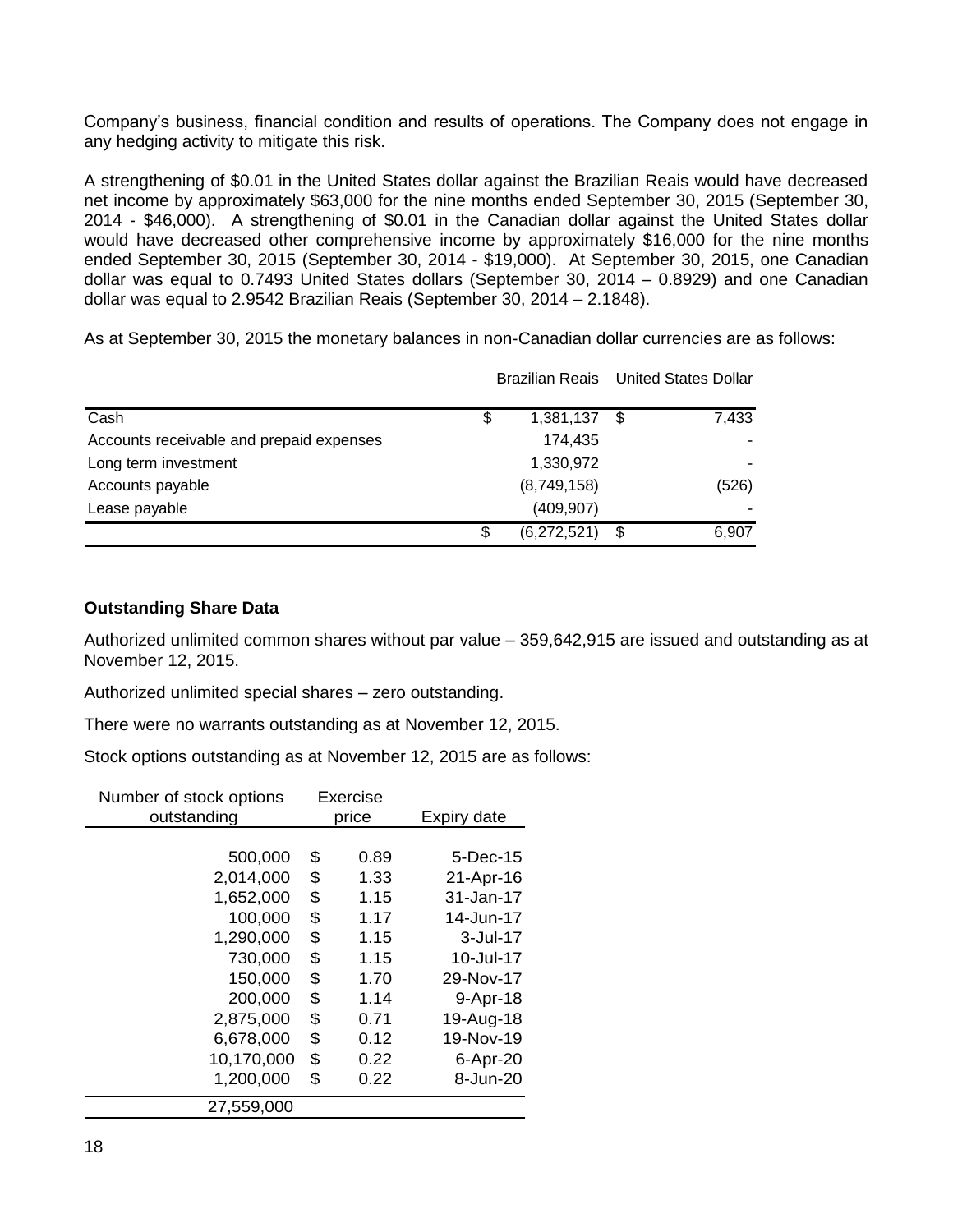Company's business, financial condition and results of operations. The Company does not engage in any hedging activity to mitigate this risk.

A strengthening of \$0.01 in the United States dollar against the Brazilian Reais would have decreased net income by approximately \$63,000 for the nine months ended September 30, 2015 (September 30, 2014 - \$46,000). A strengthening of \$0.01 in the Canadian dollar against the United States dollar would have decreased other comprehensive income by approximately \$16,000 for the nine months ended September 30, 2015 (September 30, 2014 - \$19,000). At September 30, 2015, one Canadian dollar was equal to 0.7493 United States dollars (September 30, 2014 – 0.8929) and one Canadian dollar was equal to 2.9542 Brazilian Reais (September 30, 2014 – 2.1848).

As at September 30, 2015 the monetary balances in non-Canadian dollar currencies are as follows:

|                                          |    |             |  | <b>Brazilian Reais</b> United States Dollar |  |
|------------------------------------------|----|-------------|--|---------------------------------------------|--|
| Cash                                     | \$ | 1,381,137   |  | 7,433                                       |  |
| Accounts receivable and prepaid expenses |    | 174,435     |  |                                             |  |
| Long term investment                     |    | 1,330,972   |  |                                             |  |
| Accounts payable                         |    | (8,749,158) |  | (526)                                       |  |
| Lease payable                            |    | (409, 907)  |  |                                             |  |
|                                          | \$ | (6,272,521) |  | 6,907                                       |  |

## **Outstanding Share Data**

Authorized unlimited common shares without par value – 359,642,915 are issued and outstanding as at November 12, 2015.

Authorized unlimited special shares – zero outstanding.

There were no warrants outstanding as at November 12, 2015.

Stock options outstanding as at November 12, 2015 are as follows:

| Number of stock options | Exercise |      |             |  |
|-------------------------|----------|------|-------------|--|
| outstanding             | price    |      | Expiry date |  |
|                         |          |      |             |  |
| 500,000                 | \$       | 0.89 | 5-Dec-15    |  |
| 2,014,000               | \$       | 1.33 | 21-Apr-16   |  |
| 1,652,000               | \$       | 1.15 | 31-Jan-17   |  |
| 100,000                 | \$       | 1.17 | 14-Jun-17   |  |
| 1,290,000               | \$       | 1.15 | $3$ -Jul-17 |  |
| 730,000                 | \$       | 1.15 | 10-Jul-17   |  |
| 150,000                 | \$       | 1.70 | 29-Nov-17   |  |
| 200,000                 | \$       | 1.14 | 9-Apr-18    |  |
| 2,875,000               | \$       | 0.71 | 19-Aug-18   |  |
| 6,678,000               | \$       | 0.12 | 19-Nov-19   |  |
| 10,170,000              | \$       | 0.22 | 6-Apr-20    |  |
| 1,200,000               | \$       | 0.22 | 8-Jun-20    |  |
| 27,559,000              |          |      |             |  |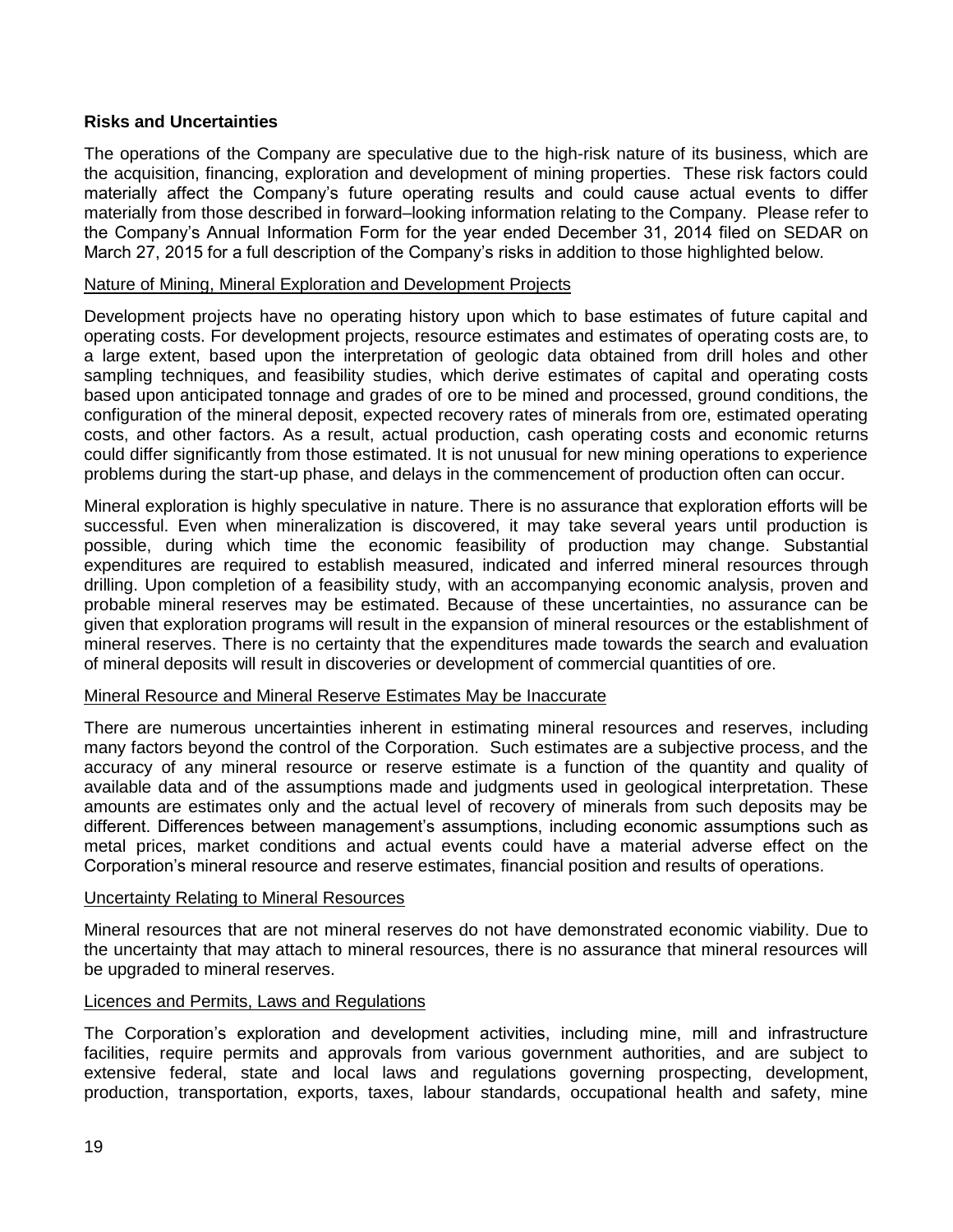## **Risks and Uncertainties**

The operations of the Company are speculative due to the high-risk nature of its business, which are the acquisition, financing, exploration and development of mining properties. These risk factors could materially affect the Company's future operating results and could cause actual events to differ materially from those described in forward–looking information relating to the Company. Please refer to the Company's Annual Information Form for the year ended December 31, 2014 filed on SEDAR on March 27, 2015 for a full description of the Company's risks in addition to those highlighted below.

## Nature of Mining, Mineral Exploration and Development Projects

Development projects have no operating history upon which to base estimates of future capital and operating costs. For development projects, resource estimates and estimates of operating costs are, to a large extent, based upon the interpretation of geologic data obtained from drill holes and other sampling techniques, and feasibility studies, which derive estimates of capital and operating costs based upon anticipated tonnage and grades of ore to be mined and processed, ground conditions, the configuration of the mineral deposit, expected recovery rates of minerals from ore, estimated operating costs, and other factors. As a result, actual production, cash operating costs and economic returns could differ significantly from those estimated. It is not unusual for new mining operations to experience problems during the start-up phase, and delays in the commencement of production often can occur.

Mineral exploration is highly speculative in nature. There is no assurance that exploration efforts will be successful. Even when mineralization is discovered, it may take several years until production is possible, during which time the economic feasibility of production may change. Substantial expenditures are required to establish measured, indicated and inferred mineral resources through drilling. Upon completion of a feasibility study, with an accompanying economic analysis, proven and probable mineral reserves may be estimated. Because of these uncertainties, no assurance can be given that exploration programs will result in the expansion of mineral resources or the establishment of mineral reserves. There is no certainty that the expenditures made towards the search and evaluation of mineral deposits will result in discoveries or development of commercial quantities of ore.

## Mineral Resource and Mineral Reserve Estimates May be Inaccurate

There are numerous uncertainties inherent in estimating mineral resources and reserves, including many factors beyond the control of the Corporation. Such estimates are a subjective process, and the accuracy of any mineral resource or reserve estimate is a function of the quantity and quality of available data and of the assumptions made and judgments used in geological interpretation. These amounts are estimates only and the actual level of recovery of minerals from such deposits may be different. Differences between management's assumptions, including economic assumptions such as metal prices, market conditions and actual events could have a material adverse effect on the Corporation's mineral resource and reserve estimates, financial position and results of operations.

## Uncertainty Relating to Mineral Resources

Mineral resources that are not mineral reserves do not have demonstrated economic viability. Due to the uncertainty that may attach to mineral resources, there is no assurance that mineral resources will be upgraded to mineral reserves.

## Licences and Permits, Laws and Regulations

The Corporation's exploration and development activities, including mine, mill and infrastructure facilities, require permits and approvals from various government authorities, and are subject to extensive federal, state and local laws and regulations governing prospecting, development, production, transportation, exports, taxes, labour standards, occupational health and safety, mine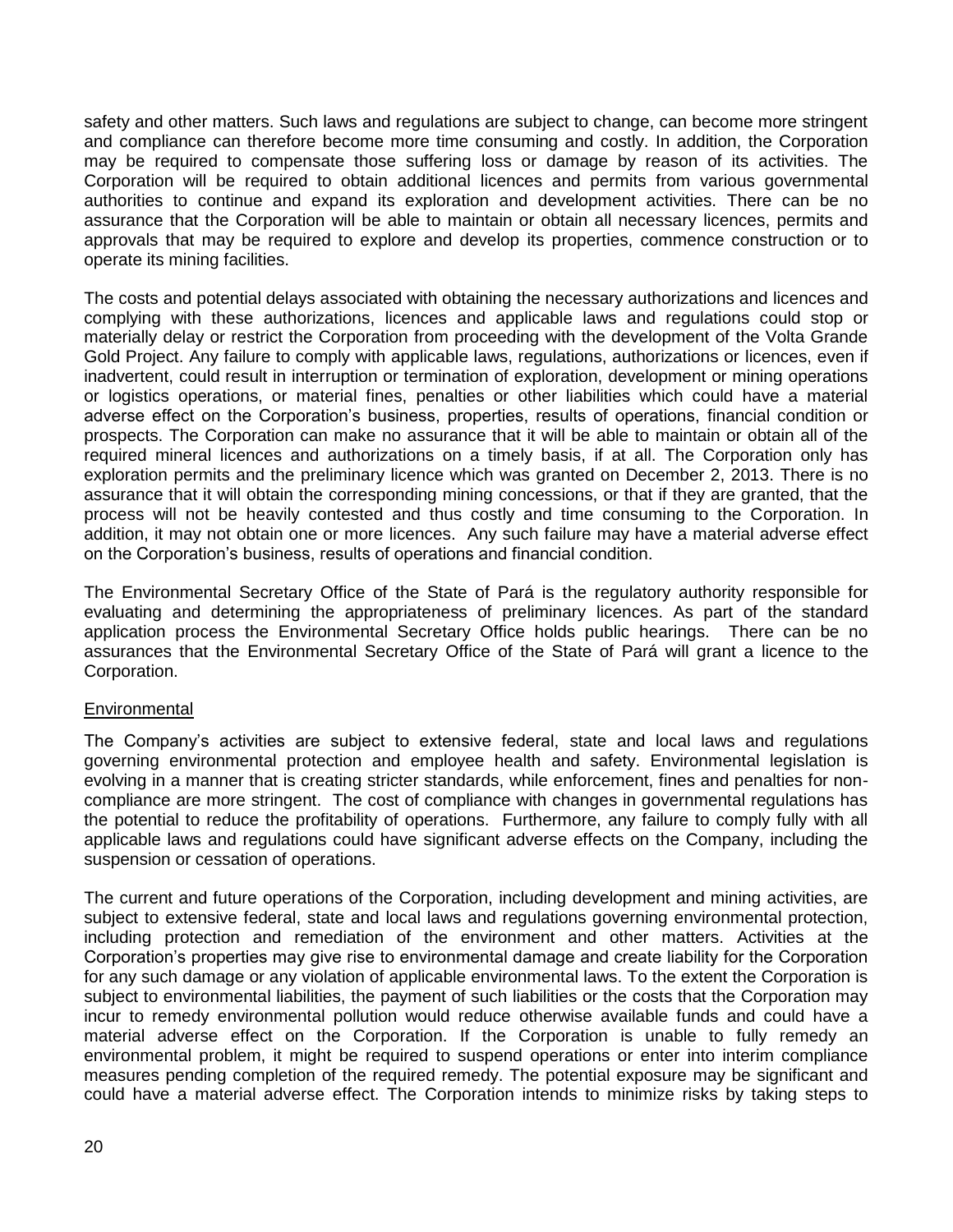safety and other matters. Such laws and regulations are subject to change, can become more stringent and compliance can therefore become more time consuming and costly. In addition, the Corporation may be required to compensate those suffering loss or damage by reason of its activities. The Corporation will be required to obtain additional licences and permits from various governmental authorities to continue and expand its exploration and development activities. There can be no assurance that the Corporation will be able to maintain or obtain all necessary licences, permits and approvals that may be required to explore and develop its properties, commence construction or to operate its mining facilities.

The costs and potential delays associated with obtaining the necessary authorizations and licences and complying with these authorizations, licences and applicable laws and regulations could stop or materially delay or restrict the Corporation from proceeding with the development of the Volta Grande Gold Project. Any failure to comply with applicable laws, regulations, authorizations or licences, even if inadvertent, could result in interruption or termination of exploration, development or mining operations or logistics operations, or material fines, penalties or other liabilities which could have a material adverse effect on the Corporation's business, properties, results of operations, financial condition or prospects. The Corporation can make no assurance that it will be able to maintain or obtain all of the required mineral licences and authorizations on a timely basis, if at all. The Corporation only has exploration permits and the preliminary licence which was granted on December 2, 2013. There is no assurance that it will obtain the corresponding mining concessions, or that if they are granted, that the process will not be heavily contested and thus costly and time consuming to the Corporation. In addition, it may not obtain one or more licences. Any such failure may have a material adverse effect on the Corporation's business, results of operations and financial condition.

The Environmental Secretary Office of the State of Pará is the regulatory authority responsible for evaluating and determining the appropriateness of preliminary licences. As part of the standard application process the Environmental Secretary Office holds public hearings. There can be no assurances that the Environmental Secretary Office of the State of Pará will grant a licence to the Corporation.

# **Environmental**

The Company's activities are subject to extensive federal, state and local laws and regulations governing environmental protection and employee health and safety. Environmental legislation is evolving in a manner that is creating stricter standards, while enforcement, fines and penalties for noncompliance are more stringent. The cost of compliance with changes in governmental regulations has the potential to reduce the profitability of operations. Furthermore, any failure to comply fully with all applicable laws and regulations could have significant adverse effects on the Company, including the suspension or cessation of operations.

The current and future operations of the Corporation, including development and mining activities, are subject to extensive federal, state and local laws and regulations governing environmental protection, including protection and remediation of the environment and other matters. Activities at the Corporation's properties may give rise to environmental damage and create liability for the Corporation for any such damage or any violation of applicable environmental laws. To the extent the Corporation is subject to environmental liabilities, the payment of such liabilities or the costs that the Corporation may incur to remedy environmental pollution would reduce otherwise available funds and could have a material adverse effect on the Corporation. If the Corporation is unable to fully remedy an environmental problem, it might be required to suspend operations or enter into interim compliance measures pending completion of the required remedy. The potential exposure may be significant and could have a material adverse effect. The Corporation intends to minimize risks by taking steps to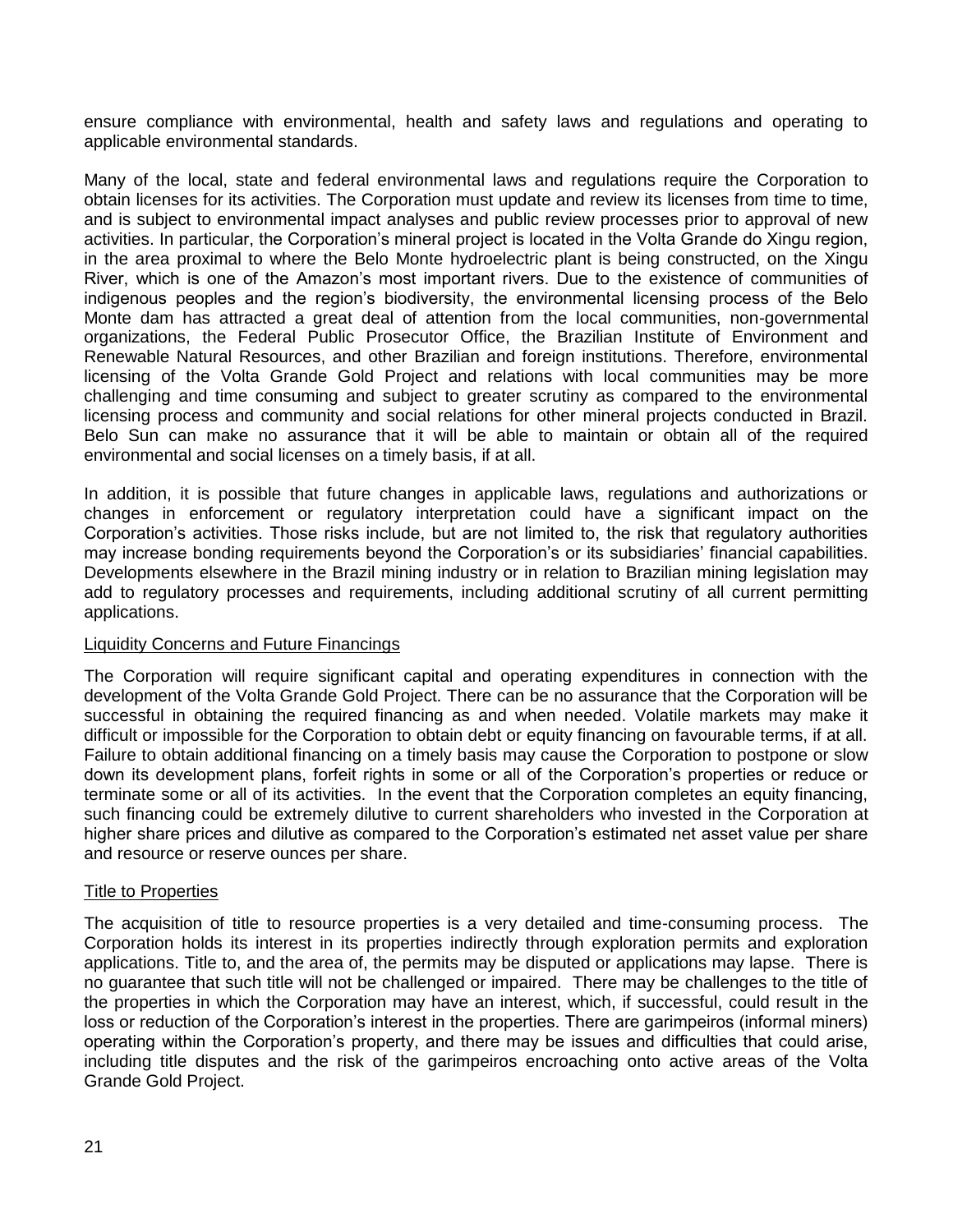ensure compliance with environmental, health and safety laws and regulations and operating to applicable environmental standards.

Many of the local, state and federal environmental laws and regulations require the Corporation to obtain licenses for its activities. The Corporation must update and review its licenses from time to time, and is subject to environmental impact analyses and public review processes prior to approval of new activities. In particular, the Corporation's mineral project is located in the Volta Grande do Xingu region, in the area proximal to where the Belo Monte hydroelectric plant is being constructed, on the Xingu River, which is one of the Amazon's most important rivers. Due to the existence of communities of indigenous peoples and the region's biodiversity, the environmental licensing process of the Belo Monte dam has attracted a great deal of attention from the local communities, non-governmental organizations, the Federal Public Prosecutor Office, the Brazilian Institute of Environment and Renewable Natural Resources, and other Brazilian and foreign institutions. Therefore, environmental licensing of the Volta Grande Gold Project and relations with local communities may be more challenging and time consuming and subject to greater scrutiny as compared to the environmental licensing process and community and social relations for other mineral projects conducted in Brazil. Belo Sun can make no assurance that it will be able to maintain or obtain all of the required environmental and social licenses on a timely basis, if at all.

In addition, it is possible that future changes in applicable laws, regulations and authorizations or changes in enforcement or regulatory interpretation could have a significant impact on the Corporation's activities. Those risks include, but are not limited to, the risk that regulatory authorities may increase bonding requirements beyond the Corporation's or its subsidiaries' financial capabilities. Developments elsewhere in the Brazil mining industry or in relation to Brazilian mining legislation may add to regulatory processes and requirements, including additional scrutiny of all current permitting applications.

# Liquidity Concerns and Future Financings

The Corporation will require significant capital and operating expenditures in connection with the development of the Volta Grande Gold Project. There can be no assurance that the Corporation will be successful in obtaining the required financing as and when needed. Volatile markets may make it difficult or impossible for the Corporation to obtain debt or equity financing on favourable terms, if at all. Failure to obtain additional financing on a timely basis may cause the Corporation to postpone or slow down its development plans, forfeit rights in some or all of the Corporation's properties or reduce or terminate some or all of its activities. In the event that the Corporation completes an equity financing, such financing could be extremely dilutive to current shareholders who invested in the Corporation at higher share prices and dilutive as compared to the Corporation's estimated net asset value per share and resource or reserve ounces per share.

# Title to Properties

The acquisition of title to resource properties is a very detailed and time-consuming process. The Corporation holds its interest in its properties indirectly through exploration permits and exploration applications. Title to, and the area of, the permits may be disputed or applications may lapse. There is no guarantee that such title will not be challenged or impaired. There may be challenges to the title of the properties in which the Corporation may have an interest, which, if successful, could result in the loss or reduction of the Corporation's interest in the properties. There are garimpeiros (informal miners) operating within the Corporation's property, and there may be issues and difficulties that could arise, including title disputes and the risk of the garimpeiros encroaching onto active areas of the Volta Grande Gold Project.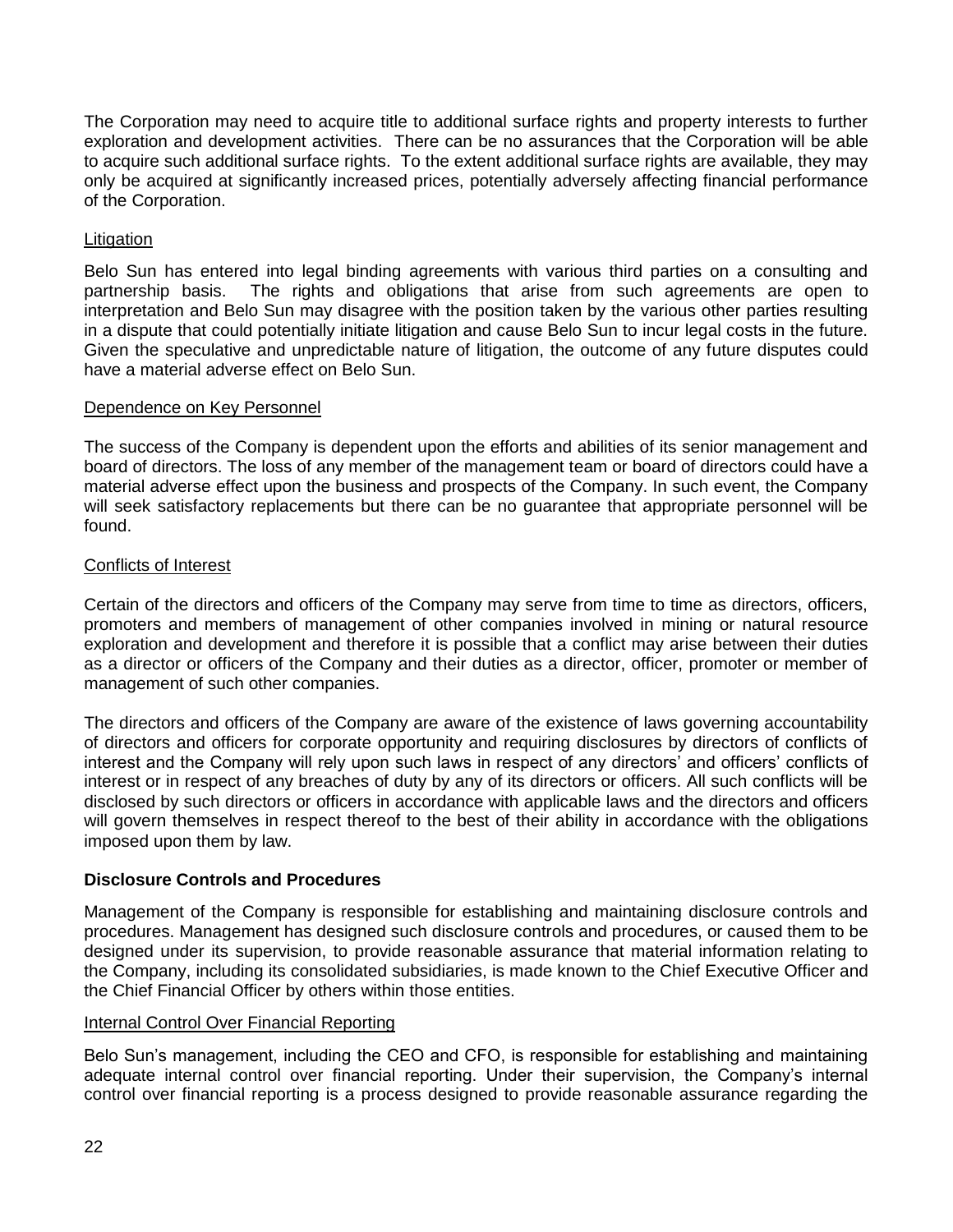The Corporation may need to acquire title to additional surface rights and property interests to further exploration and development activities. There can be no assurances that the Corporation will be able to acquire such additional surface rights. To the extent additional surface rights are available, they may only be acquired at significantly increased prices, potentially adversely affecting financial performance of the Corporation.

# **Litigation**

Belo Sun has entered into legal binding agreements with various third parties on a consulting and partnership basis. The rights and obligations that arise from such agreements are open to interpretation and Belo Sun may disagree with the position taken by the various other parties resulting in a dispute that could potentially initiate litigation and cause Belo Sun to incur legal costs in the future. Given the speculative and unpredictable nature of litigation, the outcome of any future disputes could have a material adverse effect on Belo Sun.

# Dependence on Key Personnel

The success of the Company is dependent upon the efforts and abilities of its senior management and board of directors. The loss of any member of the management team or board of directors could have a material adverse effect upon the business and prospects of the Company. In such event, the Company will seek satisfactory replacements but there can be no guarantee that appropriate personnel will be found.

## Conflicts of Interest

Certain of the directors and officers of the Company may serve from time to time as directors, officers, promoters and members of management of other companies involved in mining or natural resource exploration and development and therefore it is possible that a conflict may arise between their duties as a director or officers of the Company and their duties as a director, officer, promoter or member of management of such other companies.

The directors and officers of the Company are aware of the existence of laws governing accountability of directors and officers for corporate opportunity and requiring disclosures by directors of conflicts of interest and the Company will rely upon such laws in respect of any directors' and officers' conflicts of interest or in respect of any breaches of duty by any of its directors or officers. All such conflicts will be disclosed by such directors or officers in accordance with applicable laws and the directors and officers will govern themselves in respect thereof to the best of their ability in accordance with the obligations imposed upon them by law.

# **Disclosure Controls and Procedures**

Management of the Company is responsible for establishing and maintaining disclosure controls and procedures. Management has designed such disclosure controls and procedures, or caused them to be designed under its supervision, to provide reasonable assurance that material information relating to the Company, including its consolidated subsidiaries, is made known to the Chief Executive Officer and the Chief Financial Officer by others within those entities.

# Internal Control Over Financial Reporting

Belo Sun's management, including the CEO and CFO, is responsible for establishing and maintaining adequate internal control over financial reporting. Under their supervision, the Company's internal control over financial reporting is a process designed to provide reasonable assurance regarding the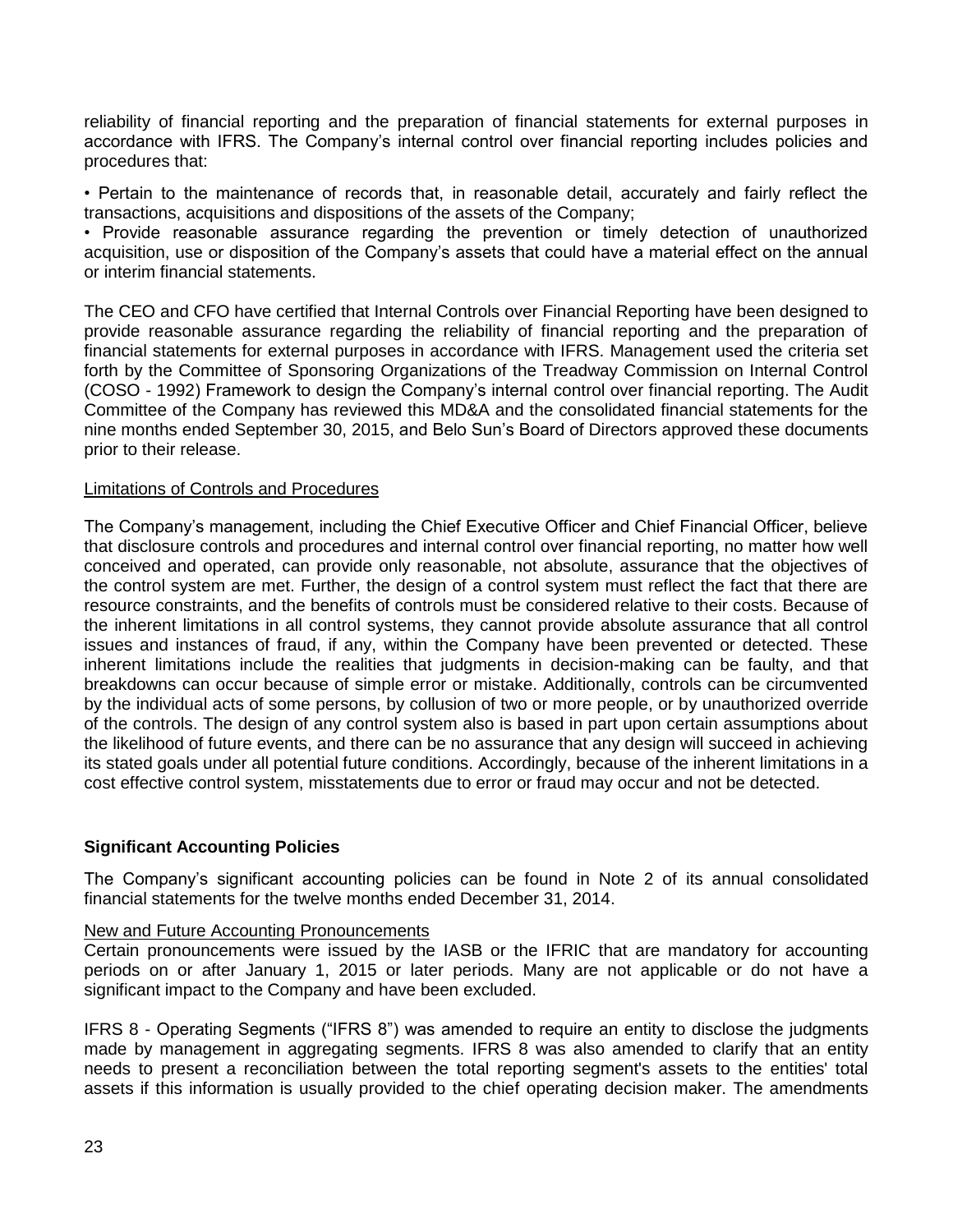reliability of financial reporting and the preparation of financial statements for external purposes in accordance with IFRS. The Company's internal control over financial reporting includes policies and procedures that:

• Pertain to the maintenance of records that, in reasonable detail, accurately and fairly reflect the transactions, acquisitions and dispositions of the assets of the Company;

• Provide reasonable assurance regarding the prevention or timely detection of unauthorized acquisition, use or disposition of the Company's assets that could have a material effect on the annual or interim financial statements.

The CEO and CFO have certified that Internal Controls over Financial Reporting have been designed to provide reasonable assurance regarding the reliability of financial reporting and the preparation of financial statements for external purposes in accordance with IFRS. Management used the criteria set forth by the Committee of Sponsoring Organizations of the Treadway Commission on Internal Control (COSO - 1992) Framework to design the Company's internal control over financial reporting. The Audit Committee of the Company has reviewed this MD&A and the consolidated financial statements for the nine months ended September 30, 2015, and Belo Sun's Board of Directors approved these documents prior to their release.

## Limitations of Controls and Procedures

The Company's management, including the Chief Executive Officer and Chief Financial Officer, believe that disclosure controls and procedures and internal control over financial reporting, no matter how well conceived and operated, can provide only reasonable, not absolute, assurance that the objectives of the control system are met. Further, the design of a control system must reflect the fact that there are resource constraints, and the benefits of controls must be considered relative to their costs. Because of the inherent limitations in all control systems, they cannot provide absolute assurance that all control issues and instances of fraud, if any, within the Company have been prevented or detected. These inherent limitations include the realities that judgments in decision-making can be faulty, and that breakdowns can occur because of simple error or mistake. Additionally, controls can be circumvented by the individual acts of some persons, by collusion of two or more people, or by unauthorized override of the controls. The design of any control system also is based in part upon certain assumptions about the likelihood of future events, and there can be no assurance that any design will succeed in achieving its stated goals under all potential future conditions. Accordingly, because of the inherent limitations in a cost effective control system, misstatements due to error or fraud may occur and not be detected.

# **Significant Accounting Policies**

The Company's significant accounting policies can be found in Note 2 of its annual consolidated financial statements for the twelve months ended December 31, 2014.

## New and Future Accounting Pronouncements

Certain pronouncements were issued by the IASB or the IFRIC that are mandatory for accounting periods on or after January 1, 2015 or later periods. Many are not applicable or do not have a significant impact to the Company and have been excluded.

IFRS 8 - Operating Segments ("IFRS 8") was amended to require an entity to disclose the judgments made by management in aggregating segments. IFRS 8 was also amended to clarify that an entity needs to present a reconciliation between the total reporting segment's assets to the entities' total assets if this information is usually provided to the chief operating decision maker. The amendments